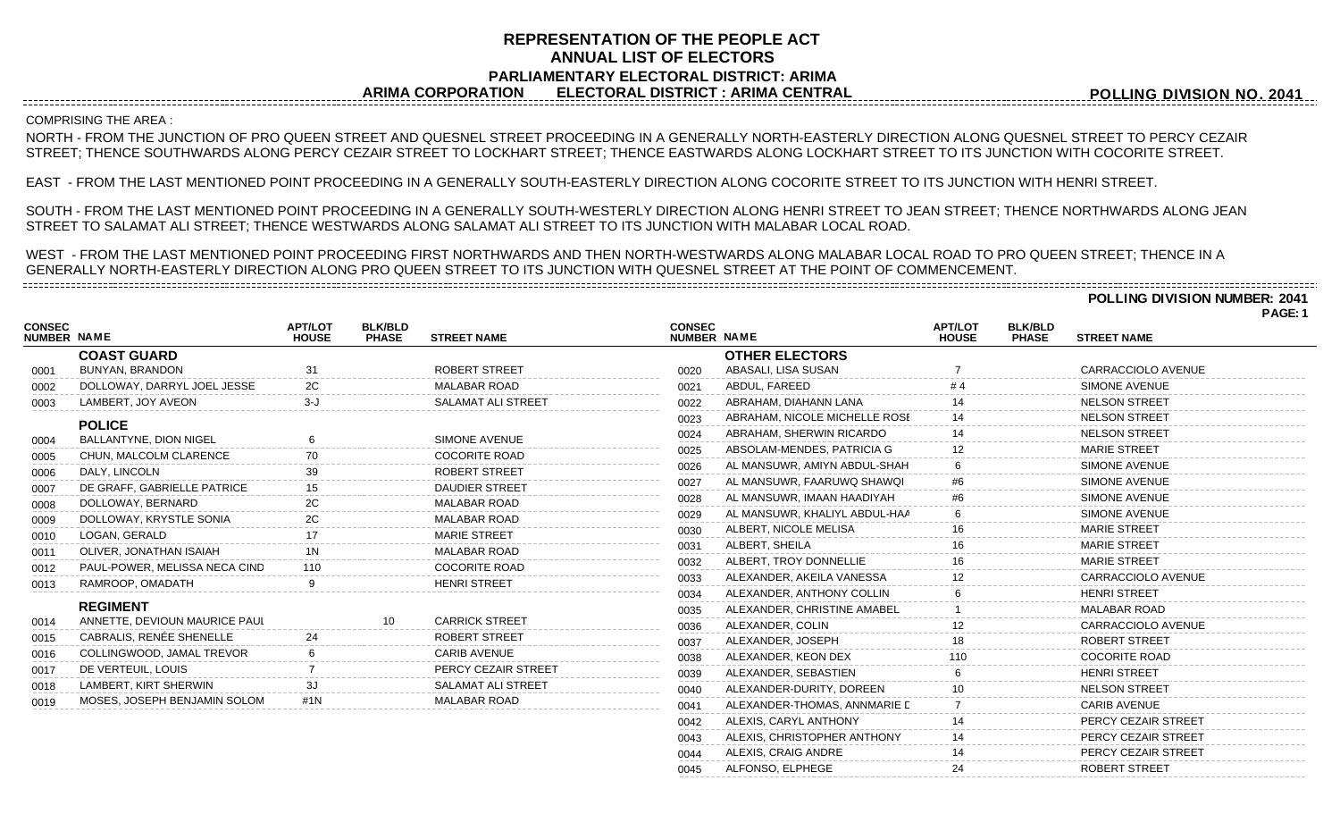# **REPRESENTATION OF THE PEOPLE ACT ANNUAL LIST OF ELECTORS PARLIAMENTARY ELECTORAL DISTRICT: ARIMA ARIMA CORPORATION ELECTORAL DISTRICT : ARIMA CENTRAL**

**POLLING DIVISION NO. 2041**

## ---------------------------------COMPRISING THE AREA :

NORTH - FROM THE JUNCTION OF PRO QUEEN STREET AND QUESNEL STREET PROCEEDING IN A GENERALLY NORTH-EASTERLY DIRECTION ALONG QUESNEL STREET TO PERCY CEZAIR STREET; THENCE SOUTHWARDS ALONG PERCY CEZAIR STREET TO LOCKHART STREET; THENCE EASTWARDS ALONG LOCKHART STREET TO ITS JUNCTION WITH COCORITE STREET.

EAST - FROM THE LAST MENTIONED POINT PROCEEDING IN A GENERALLY SOUTH-EASTERLY DIRECTION ALONG COCORITE STREET TO ITS JUNCTION WITH HENRI STREET.

SOUTH - FROM THE LAST MENTIONED POINT PROCEEDING IN A GENERALLY SOUTH-WESTERLY DIRECTION ALONG HENRI STREET TO JEAN STREET; THENCE NORTHWARDS ALONG JEAN STREET TO SALAMAT ALI STREET; THENCE WESTWARDS ALONG SALAMAT ALI STREET TO ITS JUNCTION WITH MALABAR LOCAL ROAD.

WEST - FROM THE LAST MENTIONED POINT PROCEEDING FIRST NORTHWARDS AND THEN NORTH-WESTWARDS ALONG MALABAR LOCAL ROAD TO PRO QUEEN STREET; THENCE IN A GENERALLY NORTH-EASTERLY DIRECTION ALONG PRO QUEEN STREET TO ITS JUNCTION WITH QUESNEL STREET AT THE POINT OF COMMENCEMENT. 

> **POLLING DIVISION NUMBER: 2041 PAGE: 1**

| <b>CONSEC</b><br><b>NUMBER NAME</b> |                               | <b>APT/LOT</b><br><b>HOUSE</b> | <b>BLK/BLD</b><br><b>PHASE</b> | <b>STREET NAME</b>        | <b>CONSEC</b><br>NUMBER NAME |                               | <b>APT/LOT</b><br><b>HOUSE</b> | <b>BLK/BLD</b><br><b>PHASE</b> | <b>STREET NAME</b>        |  |
|-------------------------------------|-------------------------------|--------------------------------|--------------------------------|---------------------------|------------------------------|-------------------------------|--------------------------------|--------------------------------|---------------------------|--|
|                                     | <b>COAST GUARD</b>            |                                |                                |                           |                              | <b>OTHER ELECTORS</b>         |                                |                                |                           |  |
| 0001                                | <b>BUNYAN, BRANDON</b>        | 31                             |                                | <b>ROBERT STREET</b>      | 0020                         | ABASALI. LISA SUSAN           |                                |                                | CARRACCIOLO AVENUE        |  |
| 0002                                | DOLLOWAY, DARRYL JOEL JESSE   |                                |                                | <b>MALABAR ROAD</b>       | 0021                         | ABDUL, FAREED                 |                                |                                | <b>SIMONE AVENUE</b>      |  |
| 0003                                | LAMBERT, JOY AVEON            | 3-J                            |                                | <b>SALAMAT ALI STREET</b> | 0022                         | ABRAHAM, DIAHANN LANA         |                                |                                | <b>NELSON STREET</b>      |  |
|                                     | <b>POLICE</b>                 |                                |                                |                           | 0023                         | ABRAHAM, NICOLE MICHELLE ROSE |                                |                                | <b>NELSON STREET</b>      |  |
| 0004                                | <b>BALLANTYNE, DION NIGEL</b> |                                |                                | SIMONE AVENUE             | 0024                         | ABRAHAM, SHERWIN RICARDO      |                                |                                | <b>NELSON STREET</b>      |  |
| 0005                                | CHUN, MALCOLM CLARENCE        |                                |                                | <b>COCORITE ROAD</b>      | 0025                         | ABSOLAM-MENDES, PATRICIA G    | 12                             |                                | <b>MARIE STREET</b>       |  |
| 0006                                | DALY, LINCOLN                 |                                |                                | <b>ROBERT STREET</b>      | 0026                         | AL MANSUWR, AMIYN ABDUL-SHAH  |                                |                                | SIMONE AVENUE             |  |
| 0007                                | DE GRAFF, GABRIELLE PATRICE   |                                |                                | <b>DAUDIER STREET</b>     | 0027                         | AL MANSUWR, FAARUWQ SHAWQI    |                                |                                | <b>SIMONE AVENUE</b>      |  |
| 0008                                | DOLLOWAY, BERNARD             | 2C                             |                                | <b>MALABAR ROAD</b>       | 0028                         | AL MANSUWR. IMAAN HAADIYAH    |                                |                                | <b>SIMONE AVENUE</b>      |  |
| 0009                                | DOLLOWAY, KRYSTLE SONIA       | 2C                             |                                | <b>MALABAR ROAD</b>       | 0029                         | AL MANSUWR, KHALIYL ABDUL-HAA |                                |                                | <b>SIMONE AVENUE</b>      |  |
| 0010                                | LOGAN, GERALD                 |                                |                                | <b>MARIE STREET</b>       | 0030                         | ALBERT, NICOLE MELISA         | 16                             |                                | <b>MARIE STREET</b>       |  |
| 0011                                | OLIVER, JONATHAN ISAIAH       |                                |                                | <b>MALABAR ROAD</b>       | 0031                         | ALBERT, SHEILA                |                                |                                | <b>MARIE STREET</b>       |  |
| 0012                                | PAUL-POWER, MELISSA NECA CIND |                                |                                | <b>COCORITE ROAD</b>      | 0032                         | ALBERT, TROY DONNELLIE        |                                |                                | <b>MARIE STREET</b>       |  |
| 0013                                | RAMROOP, OMADATH              |                                |                                | <b>HENRI STREET</b>       | 0033                         | ALEXANDER, AKEILA VANESSA     | 12                             |                                | CARRACCIOLO AVENUE        |  |
|                                     |                               |                                |                                |                           | 0034                         | ALEXANDER, ANTHONY COLLIN     |                                |                                | <b>HENRI STREET</b>       |  |
|                                     | <b>REGIMENT</b>               |                                |                                |                           | 0035                         | ALEXANDER, CHRISTINE AMABEL   |                                |                                | <b>MALABAR ROAD</b>       |  |
| 0014                                | ANNETTE, DEVIOUN MAURICE PAUL |                                | 10                             | <b>CARRICK STREET</b>     | 0036                         | ALEXANDER, COLIN              |                                |                                | <b>CARRACCIOLO AVENUE</b> |  |
| 0015                                | CABRALIS, RENÉE SHENELLE      |                                |                                | <b>ROBERT STREET</b>      | 0037                         | ALEXANDER, JOSEPH             |                                |                                | ROBERT STREET             |  |
| 0016                                | COLLINGWOOD, JAMAL TREVOR     |                                |                                | <b>CARIB AVENUE</b>       | 0038                         | ALEXANDER, KEON DEX           |                                |                                | <b>COCORITE ROAD</b>      |  |
| 0017                                | DE VERTEUIL, LOUIS            |                                |                                | PERCY CEZAIR STREET       | 0039                         | ALEXANDER, SEBASTIEN          |                                |                                | <b>HENRI STREET</b>       |  |
| 0018                                | LAMBERT, KIRT SHERWIN         |                                |                                | <b>SALAMAT ALI STREET</b> | 0040                         | ALEXANDER-DURITY, DOREEN      |                                |                                | <b>NELSON STREET</b>      |  |
| 0019                                | MOSES, JOSEPH BENJAMIN SOLOM  | #1 $N$                         |                                | <b>MALABAR ROAD</b>       | 0041                         | ALEXANDER-THOMAS, ANNMARIE D  |                                |                                | <b>CARIB AVENUE</b>       |  |
|                                     |                               |                                |                                |                           | 0042                         | ALEXIS, CARYL ANTHONY         |                                |                                | PERCY CEZAIR STREET       |  |
|                                     |                               |                                |                                |                           | 0043                         | ALEXIS, CHRISTOPHER ANTHONY   |                                |                                | PERCY CEZAIR STREET       |  |
|                                     |                               |                                |                                |                           | 0044                         | ALEXIS, CRAIG ANDRE           | 14                             |                                | PERCY CEZAIR STREET       |  |

0045 ALFONSO, ELPHEGE 24 24 ROBERT STREET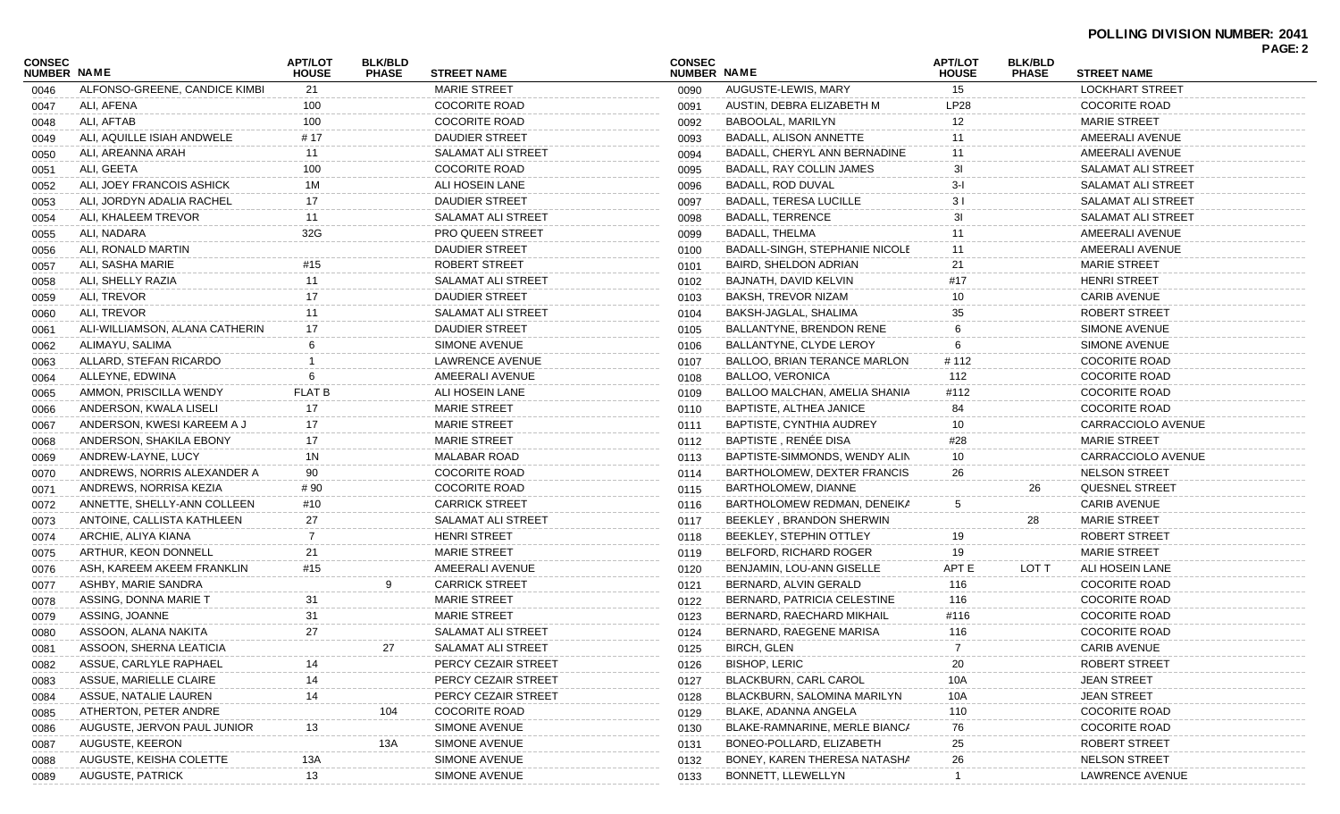|                              |                                                   |                                |                                |                         |                              |                                       |                                |                                |                           | PAGE: 2 |
|------------------------------|---------------------------------------------------|--------------------------------|--------------------------------|-------------------------|------------------------------|---------------------------------------|--------------------------------|--------------------------------|---------------------------|---------|
| <b>CONSEC</b><br>NUMBER NAME |                                                   | <b>APT/LOT</b><br><b>HOUSE</b> | <b>BLK/BLD</b><br><b>PHASE</b> | <b>STREET NAME</b>      | <b>CONSEC</b><br>NUMBER NAME |                                       | <b>APT/LOT</b><br><b>HOUSE</b> | <b>BLK/BLD</b><br><b>PHASE</b> | <b>STREET NAME</b>        |         |
| 0046                         | ALFONSO-GREENE, CANDICE KIMBI                     | 21                             |                                | <b>MARIE STREET</b>     | 0090                         | AUGUSTE-LEWIS, MARY                   | 15                             |                                | <b>LOCKHART STREET</b>    |         |
| 0047                         | ALI, AFENA                                        | 100                            |                                | <b>COCORITE ROAD</b>    | 0091                         | AUSTIN, DEBRA ELIZABETH M             | LP28                           |                                | <b>COCORITE ROAD</b>      |         |
| 0048                         | ALI, AFTAB                                        | 100                            |                                | <b>COCORITE ROAD</b>    | 0092                         | BABOOLAL, MARILYN                     | 12                             |                                | <b>MARIE STREET</b>       |         |
| 0049                         | ALI, AQUILLE ISIAH ANDWELE                        | # 17                           |                                | <b>DAUDIER STREET</b>   | 0093                         | <b>BADALL, ALISON ANNETTE</b>         | 11                             |                                | AMEERALI AVENUE           |         |
| 0050                         | ALI, AREANNA ARAH                                 | 11                             |                                | SALAMAT ALI STREET      | 0094                         | BADALL, CHERYL ANN BERNADINE          | 11                             |                                | AMEERALI AVENUE           |         |
| 0051                         | ALI, GEETA                                        | 100                            |                                | <b>COCORITE ROAD</b>    | 0095                         | <b>BADALL, RAY COLLIN JAMES</b>       | 3I                             |                                | <b>SALAMAT ALI STREET</b> |         |
| 0052                         | ALI, JOEY FRANCOIS ASHICK                         | 1M                             |                                | ALI HOSEIN LANE         | 0096                         | BADALL, ROD DUVAL                     | $3-I$                          |                                | SALAMAT ALI STREET        |         |
| 0053                         | ALI, JORDYN ADALIA RACHEL                         | 17                             |                                | <b>DAUDIER STREET</b>   | 0097                         | <b>BADALL, TERESA LUCILLE</b>         | 31                             |                                | <b>SALAMAT ALI STREET</b> |         |
| 0054                         | ALI, KHALEEM TREVOR                               | 11                             |                                | SALAMAT ALI STREET      | 0098                         | <b>BADALL, TERRENCE</b>               | 31                             |                                | <b>SALAMAT ALI STREET</b> |         |
| 0055                         | ALI, NADARA                                       | 32G                            |                                | <b>PRO QUEEN STREET</b> | 0099                         | <b>BADALL, THELMA</b>                 | 11                             |                                | AMEERALI AVENUE           |         |
| 0056                         | ALI, RONALD MARTIN                                |                                |                                | <b>DAUDIER STREET</b>   | 0100                         | <b>BADALL-SINGH, STEPHANIE NICOLE</b> | 11                             |                                | AMEERALI AVENUE           |         |
| 0057                         | ALI, SASHA MARIE                                  | #15                            |                                | ROBERT STREET           | 0101                         | <b>BAIRD, SHELDON ADRIAN</b>          | 21                             |                                | <b>MARIE STREET</b>       |         |
| 0058                         | ALI, SHELLY RAZIA                                 | 11                             |                                | SALAMAT ALI STREET      | 0102                         | BAJNATH, DAVID KELVIN                 | #17                            |                                | <b>HENRI STREET</b>       |         |
| 0059                         | ALI, TREVOR                                       | 17                             |                                | <b>DAUDIER STREET</b>   | 0103                         | BAKSH, TREVOR NIZAM                   | 10                             |                                | <b>CARIB AVENUE</b>       |         |
| 0060                         | ALI, TREVOR                                       | 11                             |                                | SALAMAT ALI STREET      | 0104                         | BAKSH-JAGLAL, SHALIMA                 | 35                             |                                | ROBERT STREET             |         |
| 0061                         | ALI-WILLIAMSON, ALANA CATHERIN                    | 17                             |                                | <b>DAUDIER STREET</b>   | 0105                         | BALLANTYNE, BRENDON RENE              |                                |                                | <b>SIMONE AVENUE</b>      |         |
| 0062                         | ALIMAYU, SALIMA                                   |                                |                                | SIMONE AVENUE           | 0106                         | BALLANTYNE, CLYDE LEROY               | 6                              |                                | <b>SIMONE AVENUE</b>      |         |
| 0063                         | ALLARD, STEFAN RICARDO                            |                                |                                | LAWRENCE AVENUE         | 0107                         | BALLOO, BRIAN TERANCE MARLON          | # 112                          |                                | <b>COCORITE ROAD</b>      |         |
| 0064                         | ALLEYNE, EDWINA                                   | 6                              |                                | AMEERALI AVENUE         | 0108                         | <b>BALLOO, VERONICA</b>               | 112                            |                                | <b>COCORITE ROAD</b>      |         |
| 0065                         | AMMON, PRISCILLA WENDY                            | <b>FLAT B</b>                  |                                | ALI HOSEIN LANE         | 0109                         | BALLOO MALCHAN, AMELIA SHANIA         | #112                           |                                | <b>COCORITE ROAD</b>      |         |
| 0066                         | ANDERSON, KWALA LISELI                            | 17                             |                                | <b>MARIE STREET</b>     | 0110                         | BAPTISTE, ALTHEA JANICE               | 84                             |                                | <b>COCORITE ROAD</b>      |         |
|                              | ANDERSON, KWESI KAREEM A J                        | 17                             |                                | <b>MARIE STREET</b>     | 0111                         | <b>BAPTISTE, CYNTHIA AUDREY</b>       | 10                             |                                | CARRACCIOLO AVENUE        |         |
| 0067                         | ANDERSON, SHAKILA EBONY                           | 17                             |                                | <b>MARIE STREET</b>     | 0112                         | BAPTISTE, RENÉE DISA                  | #28                            |                                | <b>MARIE STREET</b>       |         |
| 0068                         |                                                   |                                |                                | <b>MALABAR ROAD</b>     |                              | BAPTISTE-SIMMONDS, WENDY ALIN         | 10                             |                                | CARRACCIOLO AVENUE        |         |
| 0069                         | ANDREW-LAYNE, LUCY<br>ANDREWS, NORRIS ALEXANDER A | 1N                             |                                | COCORITE ROAD           | 0113                         | BARTHOLOMEW, DEXTER FRANCIS           |                                |                                | <b>NELSON STREET</b>      |         |
| 0070                         |                                                   | 90                             |                                |                         | 0114                         |                                       | 26                             |                                |                           |         |
| 0071                         | ANDREWS, NORRISA KEZIA                            | # 90                           |                                | <b>COCORITE ROAD</b>    | 0115                         | BARTHOLOMEW, DIANNE                   |                                | 26                             | <b>QUESNEL STREET</b>     |         |
| 0072                         | ANNETTE, SHELLY-ANN COLLEEN                       | #10                            |                                | <b>CARRICK STREET</b>   | 0116                         | BARTHOLOMEW REDMAN, DENEIKA           | 5                              |                                | <b>CARIB AVENUE</b>       |         |
| 0073                         | ANTOINE, CALLISTA KATHLEEN                        | 27                             |                                | SALAMAT ALI STREET      | 0117                         | BEEKLEY, BRANDON SHERWIN              |                                | 28                             | <b>MARIE STREET</b>       |         |
| 0074                         | ARCHIE, ALIYA KIANA                               | 7                              |                                | <b>HENRI STREET</b>     | 0118                         | BEEKLEY, STEPHIN OTTLEY               | 19                             |                                | ROBERT STREET             |         |
| 0075                         | ARTHUR, KEON DONNELL                              | 21                             |                                | <b>MARIE STREET</b>     | 0119                         | BELFORD, RICHARD ROGER                | 19                             |                                | <b>MARIE STREET</b>       |         |
| 0076                         | ASH. KAREEM AKEEM FRANKLIN                        | #15                            |                                | AMEERALI AVENUE         | 0120                         | BENJAMIN, LOU-ANN GISELLE             | APT E                          | LOT T                          | ALI HOSEIN LANE           |         |
| 0077                         | ASHBY, MARIE SANDRA                               |                                | 9                              | <b>CARRICK STREET</b>   | 0121                         | BERNARD, ALVIN GERALD                 | 116                            |                                | <b>COCORITE ROAD</b>      |         |
| 0078                         | ASSING, DONNA MARIE T                             | 31                             |                                | <b>MARIE STREET</b>     | 0122                         | BERNARD, PATRICIA CELESTINE           | 116                            |                                | <b>COCORITE ROAD</b>      |         |
| 0079                         | ASSING, JOANNE                                    | 31                             |                                | <b>MARIE STREET</b>     | 0123                         | BERNARD, RAECHARD MIKHAIL             | #116                           |                                | <b>COCORITE ROAD</b>      |         |
| 0080                         | ASSOON, ALANA NAKITA                              | 27                             |                                | SALAMAT ALI STREET      | 0124                         | BERNARD, RAEGENE MARISA               | 116                            |                                | <b>COCORITE ROAD</b>      |         |
| 0081                         | ASSOON, SHERNA LEATICIA                           |                                | 27                             | SALAMAT ALI STREET      | 0125                         | <b>BIRCH, GLEN</b>                    | $\overline{7}$                 |                                | <b>CARIB AVENUE</b>       |         |
| 0082                         | ASSUE, CARLYLE RAPHAEL                            | 14                             |                                | PERCY CEZAIR STREET     | 0126                         | <b>BISHOP, LERIC</b>                  | 20                             |                                | <b>ROBERT STREET</b>      |         |
| 0083                         | ASSUE, MARIELLE CLAIRE                            | 14                             |                                | PERCY CEZAIR STREET     | 0127                         | <b>BLACKBURN, CARL CAROL</b>          | 10A                            |                                | <b>JEAN STREET</b>        |         |
| 0084                         | ASSUE, NATALIE LAUREN                             | 14                             |                                | PERCY CEZAIR STREET     | 0128                         | BLACKBURN, SALOMINA MARILYN           | 10A                            |                                | <b>JEAN STREET</b>        |         |
| 0085                         | ATHERTON, PETER ANDRE                             |                                | 104                            | <b>COCORITE ROAD</b>    | 0129                         | BLAKE, ADANNA ANGELA                  | 110                            |                                | <b>COCORITE ROAD</b>      |         |
| 0086                         | AUGUSTE, JERVON PAUL JUNIOR                       | 13                             |                                | SIMONE AVENUE           | 0130                         | BLAKE-RAMNARINE, MERLE BIANCA         | 76                             |                                | <b>COCORITE ROAD</b>      |         |
| 0087                         | AUGUSTE, KEERON                                   |                                | 13A                            | SIMONE AVENUE           | 0131                         | BONEO-POLLARD, ELIZABETH              | 25                             |                                | ROBERT STREET             |         |
| 0088                         | AUGUSTE, KEISHA COLETTE                           | 13A                            |                                | SIMONE AVENUE           | 0132                         | BONEY, KAREN THERESA NATASHA          | 26                             |                                | <b>NELSON STREET</b>      |         |
| 0089                         | AUGUSTE, PATRICK                                  | 13                             |                                | SIMONE AVENUE           | 0133                         | BONNETT, LLEWELLYN                    |                                |                                | LAWRENCE AVENUE           |         |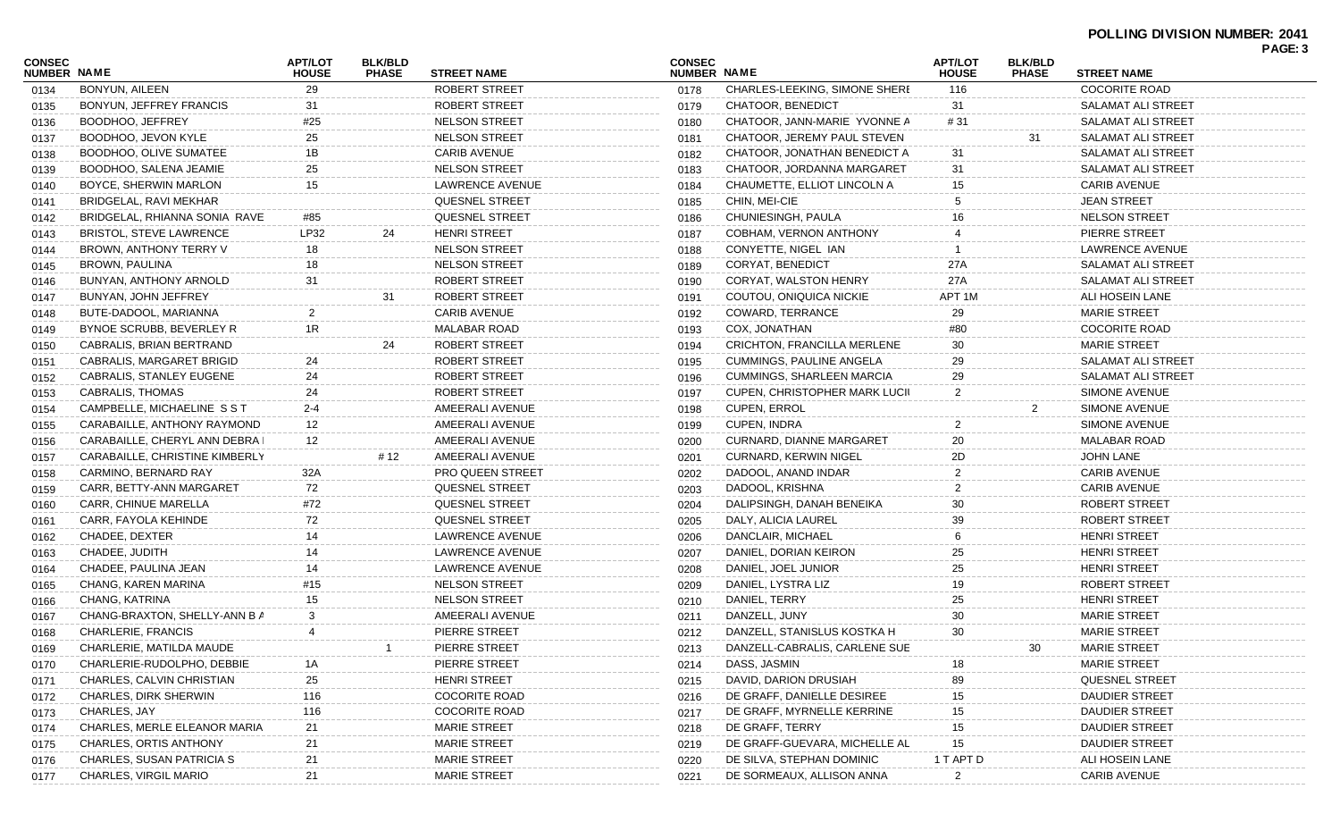#### **POLLING DIVISION NUMBER: 2041 PAGE: 3**

| <b>CONSEC</b><br>NUMBER NAME |                                | <b>APT/LOT</b><br><b>HOUSE</b> | <b>BLK/BLD</b><br><b>PHASE</b> | <b>STREET NAME</b>      | <b>CONSEC</b><br>NUMBER NAME |                                    | <b>APT/LOT</b><br><b>HOUSE</b> | <b>BLK/BLD</b><br><b>PHASE</b> | <b>STREET NAME</b>        | <b>FAGE.</b> |
|------------------------------|--------------------------------|--------------------------------|--------------------------------|-------------------------|------------------------------|------------------------------------|--------------------------------|--------------------------------|---------------------------|--------------|
| 0134                         | BONYUN, AILEEN                 | 29                             |                                | ROBERT STREET           | 0178                         | CHARLES-LEEKING, SIMONE SHERE      | 116                            |                                | <b>COCORITE ROAD</b>      |              |
| 0135                         | BONYUN, JEFFREY FRANCIS        | 31                             |                                | ROBERT STREET           | 0179                         | <b>CHATOOR, BENEDICT</b>           | -31                            |                                | SALAMAT ALI STREET        |              |
| 0136                         | BOODHOO, JEFFREY               | #25                            |                                | <b>NELSON STREET</b>    | 0180                         | CHATOOR, JANN-MARIE YVONNE A       | # 31                           |                                | SALAMAT ALI STREET        |              |
| 0137                         | BOODHOO, JEVON KYLE            | 25                             |                                | <b>NELSON STREET</b>    | 0181                         | CHATOOR, JEREMY PAUL STEVEN        |                                | 31                             | SALAMAT ALI STREET        |              |
| 0138                         | BOODHOO, OLIVE SUMATEE         | 1B                             |                                | <b>CARIB AVENUE</b>     | 0182                         | CHATOOR, JONATHAN BENEDICT A       | 31                             |                                | SALAMAT ALI STREET        |              |
| 0139                         | BOODHOO, SALENA JEAMIE         | 25                             |                                | <b>NELSON STREET</b>    | 0183                         | CHATOOR, JORDANNA MARGARET         | 31                             |                                | SALAMAT ALI STREET        |              |
| 0140                         | BOYCE, SHERWIN MARLON          | 15                             |                                | LAWRENCE AVENUE         | 0184                         | CHAUMETTE, ELLIOT LINCOLN A        | 15                             |                                | <b>CARIB AVENUE</b>       |              |
| 0141                         | BRIDGELAL, RAVI MEKHAR         |                                |                                | QUESNEL STREET          | 0185                         | CHIN, MEI-CIE                      |                                |                                | <b>JEAN STREET</b>        |              |
| 0142                         | BRIDGELAL, RHIANNA SONIA RAVE  | #85                            |                                | QUESNEL STREET          | 0186                         | CHUNIESINGH, PAULA                 |                                |                                | <b>NELSON STREET</b>      |              |
| 0143                         | <b>BRISTOL, STEVE LAWRENCE</b> | LP32                           | 24                             | <b>HENRI STREET</b>     | 0187                         | COBHAM, VERNON ANTHONY             |                                |                                | PIERRE STREET             |              |
| 0144                         | BROWN, ANTHONY TERRY V         | 18                             |                                | <b>NELSON STREET</b>    | 0188                         | CONYETTE, NIGEL IAN                |                                |                                | LAWRENCE AVENUE           |              |
| 0145                         | BROWN, PAULINA                 | 18                             |                                | <b>NELSON STREET</b>    | 0189                         | <b>CORYAT, BENEDICT</b>            | 27A                            |                                | SALAMAT ALI STREET        |              |
| 0146                         | BUNYAN, ANTHONY ARNOLD         | 31                             |                                | ROBERT STREET           | 0190                         | CORYAT, WALSTON HENRY              | 27A                            |                                | SALAMAT ALI STREET        |              |
| 0147                         | BUNYAN, JOHN JEFFREY           |                                | 31                             | ROBERT STREET           | 0191                         | COUTOU, ONIQUICA NICKIE            | APT 1M                         |                                | ALI HOSEIN LANE           |              |
| 0148                         | BUTE-DADOOL, MARIANNA          |                                |                                | <b>CARIB AVENUE</b>     | 0192                         | COWARD, TERRANCE                   | 29                             |                                | <b>MARIE STREET</b>       |              |
| 0149                         | BYNOE SCRUBB, BEVERLEY R       | 1R                             |                                | MALABAR ROAD            | 0193                         | COX, JONATHAN                      | #80                            |                                | <b>COCORITE ROAD</b>      |              |
| 0150                         | CABRALIS, BRIAN BERTRAND       |                                | 24                             | ROBERT STREET           | 0194                         | <b>CRICHTON, FRANCILLA MERLENE</b> | 30                             |                                | <b>MARIE STREET</b>       |              |
| 0151                         | CABRALIS, MARGARET BRIGID      | 24                             |                                | ROBERT STREET           | 0195                         | <b>CUMMINGS, PAULINE ANGELA</b>    | 29                             |                                | <b>SALAMAT ALI STREET</b> |              |
| 0152                         | CABRALIS, STANLEY EUGENE       | 24                             |                                | ROBERT STREET           | 0196                         | CUMMINGS, SHARLEEN MARCIA          | 29                             |                                | SALAMAT ALI STREET        |              |
| 0153                         | CABRALIS, THOMAS               | 24                             |                                | ROBERT STREET           | 0197                         | CUPEN, CHRISTOPHER MARK LUCIL      |                                |                                | <b>SIMONE AVENUE</b>      |              |
| 0154                         | CAMPBELLE, MICHAELINE SST      | $2 - 4$                        |                                | AMEERALI AVENUE         | 0198                         | CUPEN, ERROL                       |                                |                                | SIMONE AVENUE             |              |
| 0155                         | CARABAILLE, ANTHONY RAYMOND    | 12                             |                                | AMEERALI AVENUE         | 0199                         | CUPEN, INDRA                       |                                |                                | SIMONE AVENUE             |              |
| 0156                         | CARABAILLE, CHERYL ANN DEBRA I | 12                             |                                | AMEERALI AVENUE         | 0200                         | CURNARD, DIANNE MARGARET           | 20                             |                                | <b>MALABAR ROAD</b>       |              |
| 0157                         | CARABAILLE, CHRISTINE KIMBERLY |                                | # 12                           | AMEERALI AVENUE         | 0201                         | <b>CURNARD, KERWIN NIGEL</b>       | 2D.                            |                                | <b>JOHN LANE</b>          |              |
| 0158                         | CARMINO, BERNARD RAY           | 32A                            |                                | <b>PRO QUEEN STREET</b> | 0202                         | DADOOL, ANAND INDAR                |                                |                                | <b>CARIB AVENUE</b>       |              |
| 0159                         | CARR, BETTY-ANN MARGARET       | 72                             |                                | QUESNEL STREET          | 0203                         | DADOOL, KRISHNA                    |                                |                                | <b>CARIB AVENUE</b>       |              |
| 0160                         | CARR, CHINUE MARELLA           | #72                            |                                | QUESNEL STREET          | 0204                         | DALIPSINGH, DANAH BENEIKA          | 30                             |                                | ROBERT STREET             |              |
| 0161                         | CARR, FAYOLA KEHINDE           | 72                             |                                | QUESNEL STREET          | 0205                         | DALY, ALICIA LAUREL                | 39                             |                                | ROBERT STREET             |              |
| 0162                         | CHADEE, DEXTER                 | 14                             |                                | LAWRENCE AVENUE         | 0206                         | DANCLAIR, MICHAEL                  |                                |                                | <b>HENRI STREET</b>       |              |
| 0163                         | CHADEE, JUDITH                 | 14                             |                                | LAWRENCE AVENUE         | 0207                         | DANIEL, DORIAN KEIRON              | 25                             |                                | <b>HENRI STREET</b>       |              |
| 0164                         | CHADEE, PAULINA JEAN           | 14                             |                                | LAWRENCE AVENUE         | 0208                         | DANIEL, JOEL JUNIOR                | 25                             |                                | <b>HENRI STREET</b>       |              |
| 0165                         | CHANG, KAREN MARINA            | #15                            |                                | <b>NELSON STREET</b>    | 0209                         | DANIEL, LYSTRA LIZ                 | 19                             |                                | ROBERT STREET             |              |
| 0166                         | CHANG, KATRINA                 | 15                             |                                | <b>NELSON STREET</b>    | 0210                         | DANIEL, TERRY                      | 25                             |                                | <b>HENRI STREET</b>       |              |
| 0167                         | CHANG-BRAXTON, SHELLY-ANN B A  |                                |                                | AMEERALI AVENUE         | 0211                         | DANZELL, JUNY                      | 30                             |                                | <b>MARIE STREET</b>       |              |
| 0168                         | CHARLERIE, FRANCIS             |                                |                                | PIERRE STREET           | 0212                         | DANZELL, STANISLUS KOSTKA H        | 30                             |                                | <b>MARIE STREET</b>       |              |
| 0169                         | CHARLERIE, MATILDA MAUDE       |                                |                                | PIERRE STREET           | 0213                         | DANZELL-CABRALIS, CARLENE SUE      |                                |                                | MARIE STREET              |              |
| 0170                         | CHARLERIE-RUDOLPHO, DEBBIE     | 1А                             |                                | PIERRE STREET           | 0214                         | DASS, JASMIN                       |                                |                                | <b>MARIE STREET</b>       |              |
| 0171                         | CHARLES, CALVIN CHRISTIAN      | 25                             |                                | <b>HENRI STREET</b>     | 0215                         | DAVID, DARION DRUSIAH              | 89                             |                                | <b>QUESNEL STREET</b>     |              |
| 0172                         | CHARLES, DIRK SHERWIN          | 116                            |                                | <b>COCORITE ROAD</b>    | 0216                         | DE GRAFF, DANIELLE DESIREE         | 15                             |                                | DAUDIER STREET            |              |
| 0173                         | CHARLES, JAY                   | 116                            |                                | <b>COCORITE ROAD</b>    | 0217                         | DE GRAFF, MYRNELLE KERRINE         | 15                             |                                | DAUDIER STREET            |              |
| 0174                         | CHARLES, MERLE ELEANOR MARIA   | 21                             |                                | <b>MARIE STREET</b>     | 0218                         | DE GRAFF, TERRY                    | 15                             |                                | DAUDIER STREET            |              |
| 0175                         | CHARLES, ORTIS ANTHONY         | 21                             |                                | <b>MARIE STREET</b>     | 0219                         | DE GRAFF-GUEVARA, MICHELLE AL      | 15                             |                                | DAUDIER STREET            |              |
| 0176                         | CHARLES, SUSAN PATRICIA S      | 21                             |                                | <b>MARIE STREET</b>     | 0220                         | DE SILVA, STEPHAN DOMINIC          | 1 T APT D                      |                                | ALI HOSEIN LANE           |              |
| 0177                         | <b>CHARLES, VIRGIL MARIO</b>   | 21                             |                                | <b>MARIE STREET</b>     |                              | DE SORMEAUX, ALLISON ANNA          |                                |                                | <b>CARIB AVENUE</b>       |              |
|                              |                                |                                |                                |                         | 0221                         |                                    | $\mathbf{z}$                   |                                |                           |              |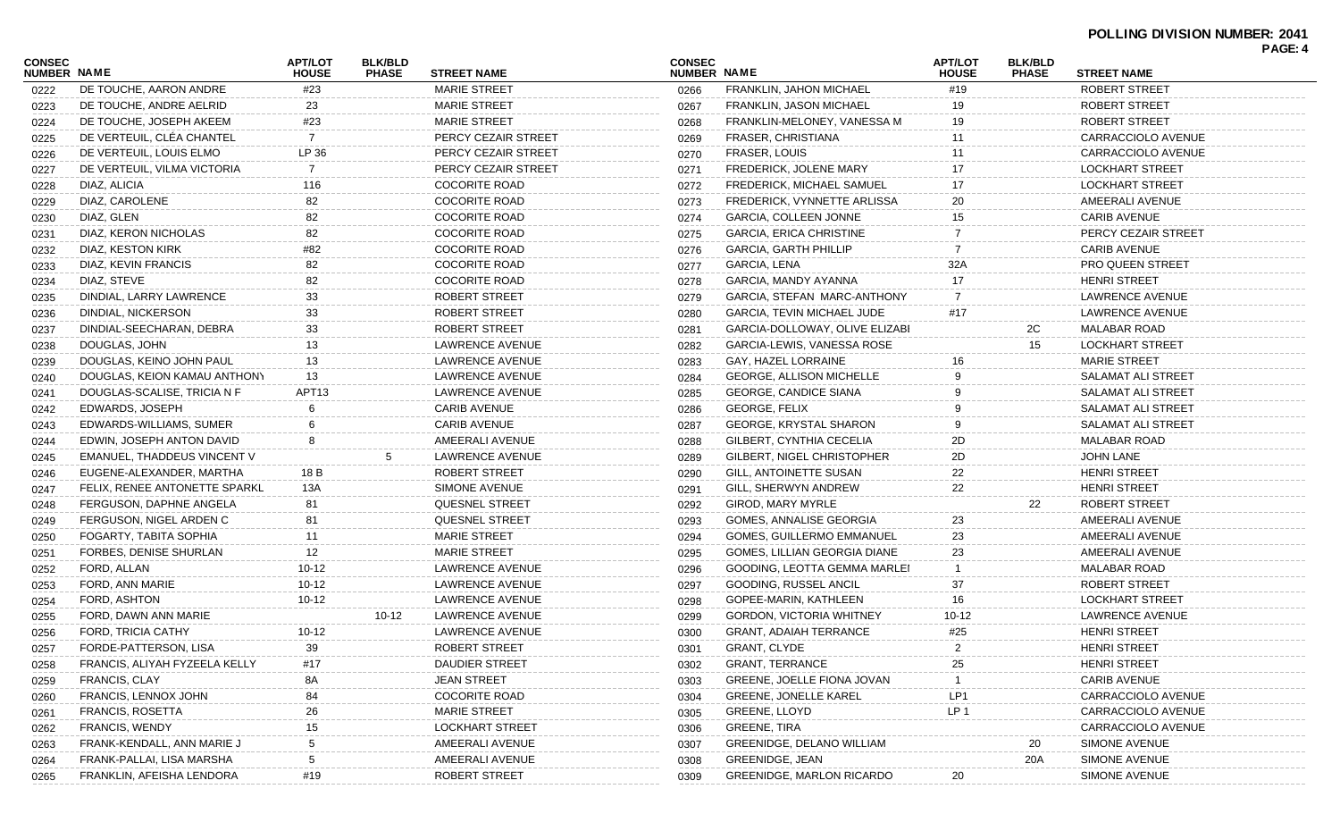| <b>CONSEC</b><br>NUMBER NAME |                               | <b>APT/LOT</b><br><b>HOUSE</b> | <b>BLK/BLD</b><br><b>PHASE</b> | <b>STREET NAME</b>     | <b>CONSEC</b><br><b>NUMBER NAME</b> |                                   | <b>APT/LOT</b><br><b>HOUSE</b> | <b>BLK/BLD</b><br><b>PHASE</b> | <b>STREET NAME</b>        | <u>FAGL. 4</u> |
|------------------------------|-------------------------------|--------------------------------|--------------------------------|------------------------|-------------------------------------|-----------------------------------|--------------------------------|--------------------------------|---------------------------|----------------|
| 0222                         | DE TOUCHE, AARON ANDRE        | #23                            |                                | <b>MARIE STREET</b>    | 0266                                | FRANKLIN, JAHON MICHAEL           | #19                            |                                | ROBERT STREET             |                |
| 0223                         | DE TOUCHE, ANDRE AELRID       | 23                             |                                | <b>MARIE STREET</b>    | 0267                                | <b>FRANKLIN, JASON MICHAEL</b>    | 19                             |                                | ROBERT STREET             |                |
| 0224                         | DE TOUCHE, JOSEPH AKEEM       | #23                            |                                | <b>MARIE STREET</b>    | 0268                                | FRANKLIN-MELONEY, VANESSA M       | 19                             |                                | ROBERT STREET             |                |
| 0225                         | DE VERTEUIL, CLÉA CHANTEL     | 7                              |                                | PERCY CEZAIR STREET    | 0269                                | FRASER, CHRISTIANA                |                                |                                | CARRACCIOLO AVENUE        |                |
| 0226                         | DE VERTEUIL, LOUIS ELMO       | LP 36                          |                                | PERCY CEZAIR STREET    | 0270                                | FRASER, LOUIS                     |                                |                                | CARRACCIOLO AVENUE        |                |
| 0227                         | DE VERTEUIL, VILMA VICTORIA   | 7                              |                                | PERCY CEZAIR STREET    | 0271                                | FREDERICK, JOLENE MARY            |                                |                                | <b>LOCKHART STREET</b>    |                |
| 0228                         | DIAZ, ALICIA                  | 116                            |                                | <b>COCORITE ROAD</b>   | 0272                                | FREDERICK, MICHAEL SAMUEL         |                                |                                | <b>LOCKHART STREET</b>    |                |
| 0229                         | DIAZ, CAROLENE                | 82                             |                                | <b>COCORITE ROAD</b>   | 0273                                | FREDERICK, VYNNETTE ARLISSA       | 20                             |                                | AMEERALI AVENUE           |                |
| 0230                         | DIAZ, GLEN                    | 82                             |                                | <b>COCORITE ROAD</b>   | 0274                                | <b>GARCIA, COLLEEN JONNE</b>      | 15                             |                                | <b>CARIB AVENUE</b>       |                |
| 0231                         | DIAZ, KERON NICHOLAS          | 82                             |                                | <b>COCORITE ROAD</b>   | 0275                                | <b>GARCIA, ERICA CHRISTINE</b>    |                                |                                | PERCY CEZAIR STREET       |                |
| 0232                         | DIAZ, KESTON KIRK             | #82                            |                                | <b>COCORITE ROAD</b>   | 0276                                | <b>GARCIA, GARTH PHILLIP</b>      |                                |                                | <b>CARIB AVENUE</b>       |                |
| 0233                         | DIAZ, KEVIN FRANCIS           | 82                             |                                | <b>COCORITE ROAD</b>   | 0277                                | GARCIA, LENA                      | 32A                            |                                | <b>PRO QUEEN STREET</b>   |                |
| 0234                         | DIAZ, STEVE                   | 82                             |                                | <b>COCORITE ROAD</b>   | 0278                                | GARCIA, MANDY AYANNA              |                                |                                | <b>HENRI STREET</b>       |                |
| 0235                         | DINDIAL, LARRY LAWRENCE       | 33                             |                                | <b>ROBERT STREET</b>   | 0279                                | GARCIA, STEFAN MARC-ANTHONY       |                                |                                | LAWRENCE AVENUE           |                |
| 0236                         | DINDIAL, NICKERSON            | 33                             |                                | ROBERT STREET          | 0280                                | <b>GARCIA, TEVIN MICHAEL JUDE</b> | #17                            |                                | LAWRENCE AVENUE           |                |
| 0237                         | DINDIAL-SEECHARAN, DEBRA      | 33                             |                                | ROBERT STREET          | 0281                                | GARCIA-DOLLOWAY, OLIVE ELIZABI    |                                | 2C                             | <b>MALABAR ROAD</b>       |                |
| 0238                         | DOUGLAS, JOHN                 | 13                             |                                | LAWRENCE AVENUE        | 0282                                | GARCIA-LEWIS, VANESSA ROSE        |                                | 15                             | <b>LOCKHART STREET</b>    |                |
| 0239                         | DOUGLAS, KEINO JOHN PAUL      | 13                             |                                | LAWRENCE AVENUE        | 0283                                | GAY, HAZEL LORRAINE               |                                |                                | <b>MARIE STREET</b>       |                |
| 0240                         | DOUGLAS, KEION KAMAU ANTHONY  | 13                             |                                | LAWRENCE AVENUE        | 0284                                | GEORGE, ALLISON MICHELLE          |                                |                                | <b>SALAMAT ALI STREET</b> |                |
| 0241                         | DOUGLAS-SCALISE, TRICIA N F   | APT13                          |                                | LAWRENCE AVENUE        | 0285                                | <b>GEORGE, CANDICE SIANA</b>      |                                |                                | SALAMAT ALI STREET        |                |
| 0242                         | EDWARDS, JOSEPH               |                                |                                | <b>CARIB AVENUE</b>    | 0286                                | <b>GEORGE, FELIX</b>              |                                |                                | SALAMAT ALI STREET        |                |
| 0243                         | EDWARDS-WILLIAMS, SUMER       |                                |                                | <b>CARIB AVENUE</b>    | 0287                                | <b>GEORGE, KRYSTAL SHARON</b>     |                                |                                | SALAMAT ALI STREET        |                |
| 0244                         | EDWIN, JOSEPH ANTON DAVID     |                                |                                | AMEERALI AVENUE        | 0288                                | GILBERT, CYNTHIA CECELIA          | 2D.                            |                                | <b>MALABAR ROAD</b>       |                |
| 0245                         | EMANUEL, THADDEUS VINCENT V   |                                |                                | LAWRENCE AVENUE        | 0289                                | GILBERT, NIGEL CHRISTOPHER        | 2D                             |                                | JOHN LANE                 |                |
| 0246                         | EUGENE-ALEXANDER, MARTHA      | 18 B                           |                                | <b>ROBERT STREET</b>   | 0290                                | GILL, ANTOINETTE SUSAN            | 22                             |                                | <b>HENRI STREET</b>       |                |
| 0247                         | FELIX, RENEE ANTONETTE SPARKL | 13A                            |                                | SIMONE AVENUE          | 0291                                | GILL, SHERWYN ANDREW              | 22                             |                                | <b>HENRI STREET</b>       |                |
| 0248                         | FERGUSON, DAPHNE ANGELA       | 81                             |                                | <b>QUESNEL STREET</b>  | 0292                                | <b>GIROD, MARY MYRLE</b>          |                                | 22                             | ROBERT STREET             |                |
| 0249                         | FERGUSON, NIGEL ARDEN C       | 81                             |                                | QUESNEL STREET         | 0293                                | GOMES, ANNALISE GEORGIA           | 23                             |                                | AMEERALI AVENUE           |                |
| 0250                         | FOGARTY, TABITA SOPHIA        | 11                             |                                | <b>MARIE STREET</b>    | 0294                                | GOMES, GUILLERMO EMMANUEL         | 23                             |                                | AMEERALI AVENUE           |                |
| 0251                         | FORBES, DENISE SHURLAN        | 12                             |                                | <b>MARIE STREET</b>    | 0295                                | GOMES, LILLIAN GEORGIA DIANE      | 23                             |                                | AMEERALI AVENUE           |                |
| 0252                         | FORD, ALLAN                   | $10 - 12$                      |                                | LAWRENCE AVENUE        | 0296                                | GOODING, LEOTTA GEMMA MARLEI      |                                |                                | MALABAR ROAD              |                |
| 0253                         | FORD, ANN MARIE               | $10 - 12$                      |                                | LAWRENCE AVENUE        | 0297                                | GOODING, RUSSEL ANCIL             | 37                             |                                | ROBERT STREET             |                |
| 0254                         | FORD, ASHTON                  | 10-12                          |                                | LAWRENCE AVENUE        | 0298                                | GOPEE-MARIN, KATHLEEN             | 16                             |                                | <b>LOCKHART STREET</b>    |                |
| 0255                         | FORD, DAWN ANN MARIE          |                                | 10-12                          | LAWRENCE AVENUE        | 0299                                | <b>GORDON, VICTORIA WHITNEY</b>   | 10-12                          |                                | LAWRENCE AVENUE           |                |
| 0256                         | FORD. TRICIA CATHY            | $10 - 12$                      |                                | LAWRENCE AVENUE        | 0300                                | <b>GRANT, ADAIAH TERRANCE</b>     | #25                            |                                | <b>HENRI STREET</b>       |                |
| 0257                         | FORDE-PATTERSON, LISA         | 39                             |                                | ROBERT STREET          |                                     | 0301 GRANT, CLYDE                 |                                |                                | HENRI STREET              |                |
| 0258                         | FRANCIS, ALIYAH FYZEELA KELLY | #17                            |                                | <b>DAUDIER STREET</b>  | 0302                                | <b>GRANT, TERRANCE</b>            | 25                             |                                | <b>HENRI STREET</b>       |                |
| 0259                         | <b>FRANCIS, CLAY</b>          | 8A                             |                                | <b>JEAN STREET</b>     | 0303                                | GREENE, JOELLE FIONA JOVAN        |                                |                                | <b>CARIB AVENUE</b>       |                |
| 0260                         | FRANCIS, LENNOX JOHN          | 84                             |                                | <b>COCORITE ROAD</b>   | 0304                                | <b>GREENE, JONELLE KAREL</b>      | LP1                            |                                | CARRACCIOLO AVENUE        |                |
| 0261                         | FRANCIS, ROSETTA              | 26                             |                                | <b>MARIE STREET</b>    | 0305                                | <b>GREENE, LLOYD</b>              | LP 1                           |                                | CARRACCIOLO AVENUE        |                |
| 0262                         | <b>FRANCIS, WENDY</b>         | 15                             |                                | <b>LOCKHART STREET</b> | 0306                                | GREENE, TIRA                      |                                |                                | CARRACCIOLO AVENUE        |                |
| 0263                         | FRANK-KENDALL, ANN MARIE J    |                                |                                | AMEERALI AVENUE        | 0307                                | <b>GREENIDGE, DELANO WILLIAM</b>  |                                | 20                             | SIMONE AVENUE             |                |
| 0264                         | FRANK-PALLAI, LISA MARSHA     |                                |                                | AMEERALI AVENUE        | 0308                                | GREENIDGE, JEAN                   |                                | 20A                            | SIMONE AVENUE             |                |
| 0265                         | FRANKLIN, AFEISHA LENDORA     | #19                            |                                | <b>ROBERT STREET</b>   | 0309                                | <b>GREENIDGE, MARLON RICARDO</b>  | 20                             |                                | SIMONE AVENUE             |                |
|                              |                               |                                |                                |                        |                                     |                                   |                                |                                |                           |                |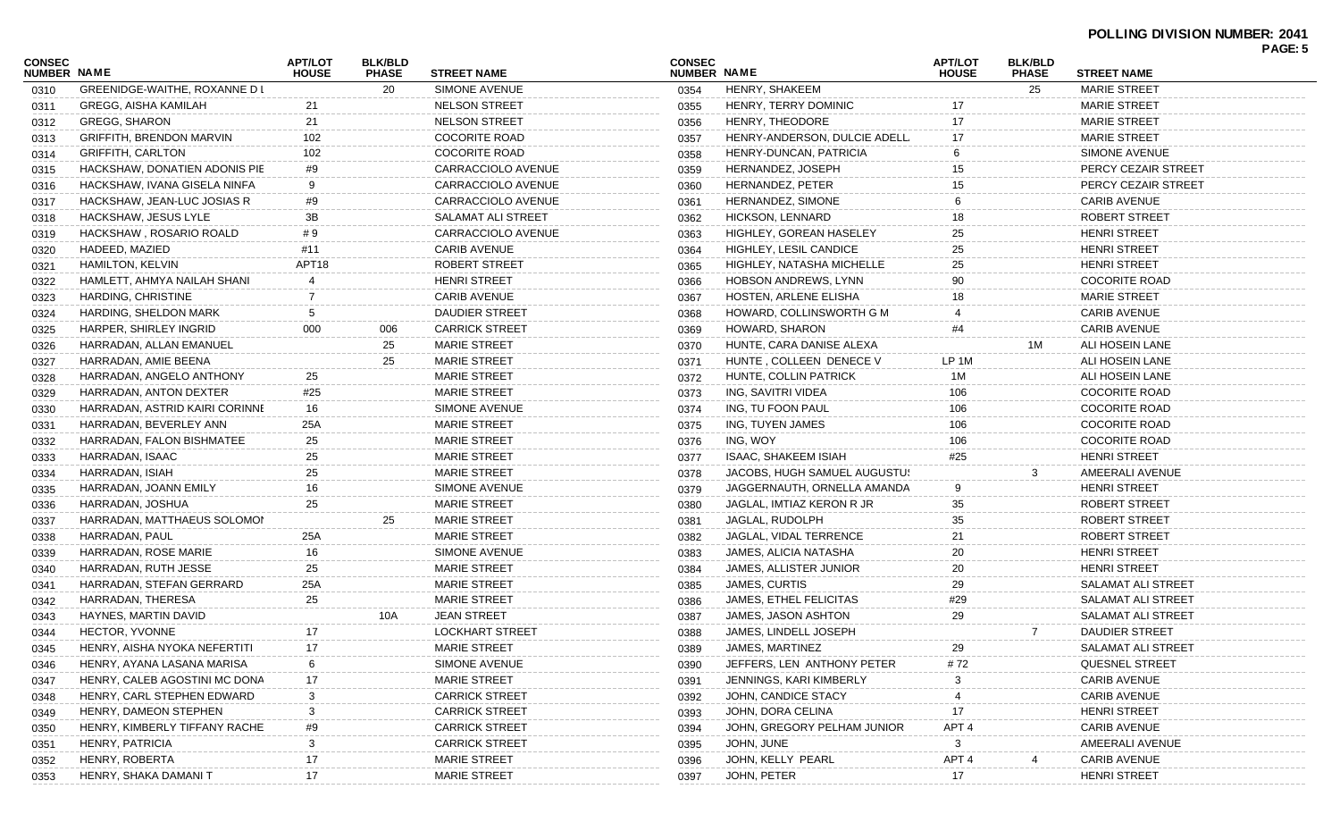| CONSEC<br><b>NUMBER NAME</b> |                                    | <b>APT/LOT</b><br><b>HOUSE</b> | <b>BLK/BLD</b><br><b>PHASE</b> | <b>STREET NAME</b>     | <b>CONSEC</b><br>NUMBER NAME |                                                     | <b>APT/LOT</b><br><b>HOUSE</b> | <b>BLK/BLD</b><br><b>PHASE</b> | <b>STREET NAME</b>    | PAGE: 5 |
|------------------------------|------------------------------------|--------------------------------|--------------------------------|------------------------|------------------------------|-----------------------------------------------------|--------------------------------|--------------------------------|-----------------------|---------|
| 0310                         | GREENIDGE-WAITHE, ROXANNE D I      |                                | 20                             | SIMONE AVENUE          | 0354                         | HENRY, SHAKEEM                                      |                                | 25                             | <b>MARIE STREET</b>   |         |
| 0311                         | <b>GREGG, AISHA KAMILAH</b>        | 21                             |                                | <b>NELSON STREET</b>   | 0355                         | HENRY, TERRY DOMINIC                                |                                |                                | <b>MARIE STREET</b>   |         |
| 0312                         | <b>GREGG, SHARON</b>               | 21                             |                                | <b>NELSON STREET</b>   | 0356                         | HENRY, THEODORE                                     |                                |                                | <b>MARIE STREET</b>   |         |
| 0313                         | <b>GRIFFITH, BRENDON MARVIN</b>    | 102                            |                                | <b>COCORITE ROAD</b>   | 0357                         | HENRY-ANDERSON, DULCIE ADELL                        |                                |                                | <b>MARIE STREET</b>   |         |
| 0314                         | <b>GRIFFITH, CARLTON</b>           | 102                            |                                | <b>COCORITE ROAD</b>   | 0358                         | HENRY-DUNCAN, PATRICIA                              |                                |                                | SIMONE AVENUE         |         |
|                              | HACKSHAW, DONATIEN ADONIS PIE      | #9                             |                                | CARRACCIOLO AVENUE     | 0359                         | HERNANDEZ, JOSEPH                                   | 15                             |                                | PERCY CEZAIR STREET   |         |
| 0315                         | HACKSHAW, IVANA GISELA NINFA       | 9                              |                                | CARRACCIOLO AVENUE     | 0360                         | <b>HERNANDEZ, PETER</b>                             | 15                             |                                | PERCY CEZAIR STREET   |         |
| 0316                         | HACKSHAW, JEAN-LUC JOSIAS R        | #9                             |                                | CARRACCIOLO AVENUE     | 0361                         | HERNANDEZ, SIMONE                                   |                                |                                | <b>CARIB AVENUE</b>   |         |
| 0317                         | HACKSHAW, JESUS LYLE               | 3B                             |                                | SALAMAT ALI STREET     | 0362                         | HICKSON, LENNARD                                    | 18                             |                                | ROBERT STREET         |         |
| 0318                         | HACKSHAW, ROSARIO ROALD            | #9                             |                                | CARRACCIOLO AVENUE     | 0363                         | HIGHLEY, GOREAN HASELEY                             | 25                             |                                | <b>HENRI STREET</b>   |         |
| 0319                         |                                    | #11                            |                                | <b>CARIB AVENUE</b>    |                              |                                                     | 25                             |                                | <b>HENRI STREET</b>   |         |
| 0320                         | HADEED, MAZIED<br>HAMILTON, KELVIN | APT <sub>18</sub>              |                                | ROBERT STREET          | 0364                         | HIGHLEY, LESIL CANDICE<br>HIGHLEY, NATASHA MICHELLE |                                |                                | <b>HENRI STREET</b>   |         |
| 0321                         |                                    |                                |                                |                        | 0365                         |                                                     | 25<br>90                       |                                |                       |         |
| 0322                         | HAMLETT, AHMYA NAILAH SHANI        |                                |                                | <b>HENRI STREET</b>    | 0366                         | <b>HOBSON ANDREWS, LYNN</b>                         |                                |                                | <b>COCORITE ROAD</b>  |         |
| 0323                         | HARDING, CHRISTINE                 | 7                              |                                | <b>CARIB AVENUE</b>    | 0367                         | HOSTEN, ARLENE ELISHA                               | 18                             |                                | <b>MARIE STREET</b>   |         |
| 0324                         | HARDING, SHELDON MARK              | 5                              |                                | <b>DAUDIER STREET</b>  | 0368                         | HOWARD, COLLINSWORTH G M                            |                                |                                | <b>CARIB AVENUE</b>   |         |
| 0325                         | HARPER, SHIRLEY INGRID             | 000                            | 006                            | <b>CARRICK STREET</b>  | 0369                         | HOWARD, SHARON                                      |                                |                                | <b>CARIB AVENUE</b>   |         |
| 0326                         | HARRADAN, ALLAN EMANUEL            |                                | 25                             | <b>MARIE STREET</b>    | 0370                         | HUNTE, CARA DANISE ALEXA                            |                                | 1M                             | ALI HOSEIN LANE       |         |
| 0327                         | HARRADAN, AMIE BEENA               |                                | 25                             | <b>MARIE STREET</b>    | 0371                         | HUNTE, COLLEEN DENECE V                             | LP 1M                          |                                | ALI HOSEIN LANE       |         |
| 0328                         | HARRADAN, ANGELO ANTHONY           | 25                             |                                | <b>MARIE STREET</b>    | 0372                         | HUNTE, COLLIN PATRICK                               | 1M                             |                                | ALI HOSEIN LANE       |         |
| 0329                         | HARRADAN, ANTON DEXTER             | #25                            |                                | <b>MARIE STREET</b>    | 0373                         | ING, SAVITRI VIDEA                                  | 106                            |                                | <b>COCORITE ROAD</b>  |         |
| 0330                         | HARRADAN, ASTRID KAIRI CORINNE     | 16                             |                                | SIMONE AVENUE          | 0374                         | ING, TU FOON PAUL                                   | 106                            |                                | <b>COCORITE ROAD</b>  |         |
| 0331                         | HARRADAN, BEVERLEY ANN             | 25A                            |                                | <b>MARIE STREET</b>    | 0375                         | ING, TUYEN JAMES                                    | 106                            |                                | <b>COCORITE ROAD</b>  |         |
| 0332                         | HARRADAN, FALON BISHMATEE          | 25                             |                                | <b>MARIE STREET</b>    | 0376                         | ING, WOY                                            | 106                            |                                | <b>COCORITE ROAD</b>  |         |
| 0333                         | HARRADAN, ISAAC                    | 25                             |                                | <b>MARIE STREET</b>    | 0377                         | ISAAC, SHAKEEM ISIAH                                | #25                            |                                | <b>HENRI STREET</b>   |         |
| 0334                         | HARRADAN, ISIAH                    | 25                             |                                | <b>MARIE STREET</b>    | 0378                         | JACOBS, HUGH SAMUEL AUGUSTUS                        |                                |                                | AMEERALI AVENUE       |         |
| 0335                         | HARRADAN, JOANN EMILY              | 16                             |                                | SIMONE AVENUE          | 0379                         | JAGGERNAUTH, ORNELLA AMANDA                         | 9                              |                                | <b>HENRI STREET</b>   |         |
| 0336                         | HARRADAN, JOSHUA                   | 25                             |                                | <b>MARIE STREET</b>    | 0380                         | JAGLAL, IMTIAZ KERON R JR                           | 35                             |                                | ROBERT STREET         |         |
| 0337                         | HARRADAN, MATTHAEUS SOLOMOI        |                                | 25                             | <b>MARIE STREET</b>    | 0381                         | JAGLAL, RUDOLPH                                     | 35                             |                                | ROBERT STREET         |         |
| 0338                         | HARRADAN, PAUL                     | 25A                            |                                | <b>MARIE STREET</b>    | 0382                         | JAGLAL, VIDAL TERRENCE                              | 21                             |                                | ROBERT STREET         |         |
| 0339                         | HARRADAN, ROSE MARIE               | 16                             |                                | SIMONE AVENUE          | 0383                         | JAMES, ALICIA NATASHA                               | 20                             |                                | <b>HENRI STREET</b>   |         |
| 0340                         | HARRADAN, RUTH JESSE               | 25                             |                                | <b>MARIE STREET</b>    | 0384                         | JAMES, ALLISTER JUNIOR                              | 20                             |                                | <b>HENRI STREET</b>   |         |
| 0341                         | HARRADAN, STEFAN GERRARD           | 25A                            |                                | <b>MARIE STREET</b>    | 0385                         | JAMES, CURTIS                                       | 29                             |                                | SALAMAT ALI STREET    |         |
| 0342                         | HARRADAN, THERESA                  | 25                             |                                | <b>MARIE STREET</b>    | 0386                         | JAMES, ETHEL FELICITAS                              | #29                            |                                | SALAMAT ALI STREET    |         |
| 0343                         | HAYNES, MARTIN DAVID               |                                | 10A                            | <b>JEAN STREET</b>     | 0387                         | JAMES, JASON ASHTON                                 | 29                             |                                | SALAMAT ALI STREET    |         |
| 0344                         | <b>HECTOR, YVONNE</b>              | 17                             |                                | <b>LOCKHART STREET</b> | 0388                         | JAMES, LINDELL JOSEPH                               |                                | 7                              | <b>DAUDIER STREET</b> |         |
| 0345                         | HENRY, AISHA NYOKA NEFERTITI       | 17                             |                                | <b>MARIE STREET</b>    | 0389                         | JAMES, MARTINEZ                                     | 29                             |                                | SALAMAT ALI STREET    |         |
| 0346                         | HENRY, AYANA LASANA MARISA         |                                |                                | SIMONE AVENUE          | 0390                         | JEFFERS, LEN ANTHONY PETER                          | #72                            |                                | QUESNEL STREET        |         |
| 0347                         | HENRY, CALEB AGOSTINI MC DONA      | 17                             |                                | <b>MARIE STREET</b>    | 0391                         | JENNINGS, KARI KIMBERLY                             |                                |                                | <b>CARIB AVENUE</b>   |         |
| 0348                         | HENRY, CARL STEPHEN EDWARD         | 3                              |                                | <b>CARRICK STREET</b>  | 0392                         | JOHN, CANDICE STACY                                 |                                |                                | <b>CARIB AVENUE</b>   |         |
| 0349                         | HENRY, DAMEON STEPHEN              | 3                              |                                | <b>CARRICK STREET</b>  | 0393                         | JOHN, DORA CELINA                                   | 17                             |                                | <b>HENRI STREET</b>   |         |
| 0350                         | HENRY, KIMBERLY TIFFANY RACHE      | #9                             |                                | <b>CARRICK STREET</b>  | 0394                         | JOHN, GREGORY PELHAM JUNIOR                         | APT <sub>4</sub>               |                                | <b>CARIB AVENUE</b>   |         |
| 0351                         | HENRY, PATRICIA                    | 3                              |                                | <b>CARRICK STREET</b>  | 0395                         | JOHN, JUNE                                          | 3                              |                                | AMEERALI AVENUE       |         |
| 0352                         | HENRY, ROBERTA                     | 17                             |                                | <b>MARIE STREET</b>    | 0396                         | JOHN, KELLY PEARL                                   | APT <sub>4</sub>               |                                | <b>CARIB AVENUE</b>   |         |
| 0353                         | HENRY, SHAKA DAMANI T              | 17                             |                                | <b>MARIE STREET</b>    | 0397                         | JOHN, PETER                                         | 17                             |                                | <b>HENRI STREET</b>   |         |
|                              |                                    |                                |                                |                        |                              |                                                     |                                |                                |                       |         |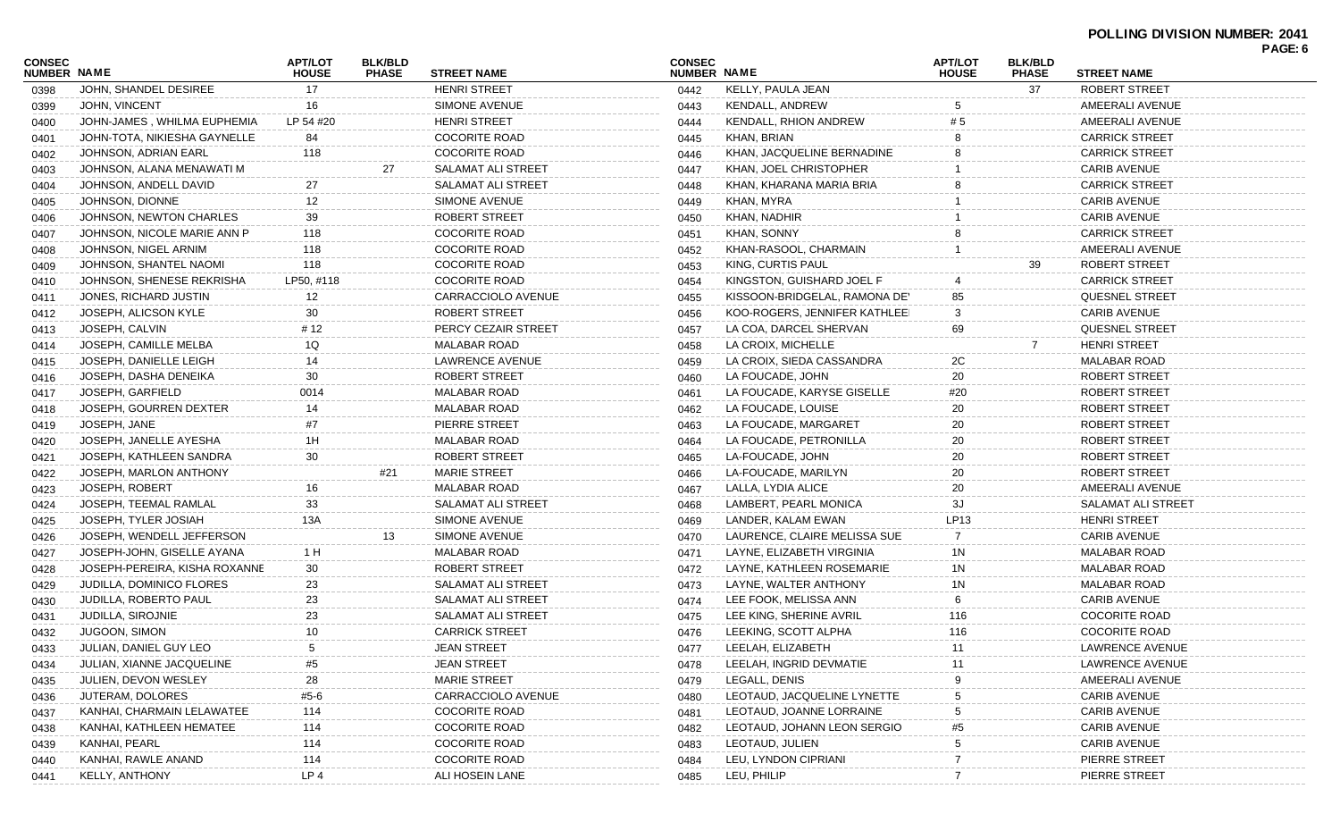## **POLLING DIVISION NUMBER: 2041**

|                              |                                 |                         |                                |                           |                              |                               |                                |                                |                           | PAGE: 6 |
|------------------------------|---------------------------------|-------------------------|--------------------------------|---------------------------|------------------------------|-------------------------------|--------------------------------|--------------------------------|---------------------------|---------|
| <b>CONSEC</b><br>NUMBER NAME |                                 | APT/LOT<br><b>HOUSE</b> | <b>BLK/BLD</b><br><b>PHASE</b> | <b>STREET NAME</b>        | <b>CONSEC</b><br>NUMBER NAME |                               | <b>APT/LOT</b><br><b>HOUSE</b> | <b>BLK/BLD</b><br><b>PHASE</b> | <b>STREET NAME</b>        |         |
| 0398                         | JOHN, SHANDEL DESIREE           | 17                      |                                | <b>HENRI STREET</b>       | 0442                         | KELLY, PAULA JEAN             |                                | 37                             | ROBERT STREET             |         |
| 0399                         | JOHN, VINCENT                   | 16                      |                                | <b>SIMONE AVENUE</b>      | 0443                         | <b>KENDALL, ANDREW</b>        |                                |                                | AMEERALI AVENUE           |         |
| 0400                         | JOHN-JAMES, WHILMA EUPHEMIA     | LP 54 #20               |                                | <b>HENRI STREET</b>       | 0444                         | KENDALL, RHION ANDREW         |                                |                                | AMEERALI AVENUE           |         |
| 0401                         | JOHN-TOTA, NIKIESHA GAYNELLE    | 84                      |                                | <b>COCORITE ROAD</b>      | 0445                         | KHAN, BRIAN                   |                                |                                | <b>CARRICK STREET</b>     |         |
| 0402                         | JOHNSON, ADRIAN EARL            | 118                     |                                | <b>COCORITE ROAD</b>      | 0446                         | KHAN, JACQUELINE BERNADINE    |                                |                                | <b>CARRICK STREET</b>     |         |
| 0403                         | JOHNSON, ALANA MENAWATI M       |                         | 27                             | SALAMAT ALI STREET        | 0447                         | KHAN, JOEL CHRISTOPHER        |                                |                                | <b>CARIB AVENUE</b>       |         |
| 0404                         | JOHNSON, ANDELL DAVID           | 27                      |                                | SALAMAT ALI STREET        | 0448                         | KHAN, KHARANA MARIA BRIA      |                                |                                | <b>CARRICK STREET</b>     |         |
| 0405                         | JOHNSON, DIONNE                 | 12                      |                                | SIMONE AVENUE             | 0449                         | KHAN, MYRA                    |                                |                                | <b>CARIB AVENUE</b>       |         |
| 0406                         | JOHNSON, NEWTON CHARLES         | 39                      |                                | ROBERT STREET             | 0450                         | KHAN, NADHIR                  |                                |                                | <b>CARIB AVENUE</b>       |         |
| 0407                         | JOHNSON, NICOLE MARIE ANN P     | 118                     |                                | <b>COCORITE ROAD</b>      | 0451                         | KHAN, SONNY                   |                                |                                | <b>CARRICK STREET</b>     |         |
| 0408                         | JOHNSON, NIGEL ARNIM            | 118                     |                                | <b>COCORITE ROAD</b>      | 0452                         | KHAN-RASOOL, CHARMAIN         |                                |                                | AMEERALI AVENUE           |         |
| 0409                         | JOHNSON, SHANTEL NAOMI          | 118                     |                                | <b>COCORITE ROAD</b>      | 0453                         | KING, CURTIS PAUL             |                                | 39                             | ROBERT STREET             |         |
| 0410                         | JOHNSON, SHENESE REKRISHA       | LP50, #118              |                                | <b>COCORITE ROAD</b>      | 0454                         | KINGSTON, GUISHARD JOEL F     |                                |                                | <b>CARRICK STREET</b>     |         |
| 0411                         | JONES, RICHARD JUSTIN           | 12                      |                                | CARRACCIOLO AVENUE        | 0455                         | KISSOON-BRIDGELAL, RAMONA DE' | 85                             |                                | <b>QUESNEL STREET</b>     |         |
| 0412                         | JOSEPH, ALICSON KYLE            | 30                      |                                | <b>ROBERT STREET</b>      | 0456                         | KOO-ROGERS. JENNIFER KATHLEEI | 3                              |                                | <b>CARIB AVENUE</b>       |         |
| 0413                         | JOSEPH, CALVIN                  | # 12                    |                                | PERCY CEZAIR STREET       | 0457                         | LA COA, DARCEL SHERVAN        | 69                             |                                | <b>QUESNEL STREET</b>     |         |
| 0414                         | JOSEPH, CAMILLE MELBA           | 1Q                      |                                | <b>MALABAR ROAD</b>       | 0458                         | LA CROIX, MICHELLE            |                                |                                | <b>HENRI STREET</b>       |         |
| 0415                         | JOSEPH, DANIELLE LEIGH          | 14                      |                                | LAWRENCE AVENUE           | 0459                         | LA CROIX, SIEDA CASSANDRA     | 2C                             |                                | <b>MALABAR ROAD</b>       |         |
| 0416                         | JOSEPH, DASHA DENEIKA           | 30                      |                                | ROBERT STREET             | 0460                         | LA FOUCADE, JOHN              | 20                             |                                | ROBERT STREET             |         |
| 0417                         | JOSEPH, GARFIELD                | 0014                    |                                | <b>MALABAR ROAD</b>       | 0461                         | LA FOUCADE, KARYSE GISELLE    | #20                            |                                | ROBERT STREET             |         |
| 0418                         | JOSEPH, GOURREN DEXTER          | 14                      |                                | <b>MALABAR ROAD</b>       | 0462                         | LA FOUCADE, LOUISE            | 20                             |                                | <b>ROBERT STREET</b>      |         |
| 0419                         | JOSEPH, JANE                    | #7                      |                                | PIERRE STREET             | 0463                         | LA FOUCADE, MARGARET          | 20                             |                                | ROBERT STREET             |         |
| 0420                         | JOSEPH, JANELLE AYESHA          | 1H                      |                                | <b>MALABAR ROAD</b>       | 0464                         | LA FOUCADE, PETRONILLA        | 20                             |                                | ROBERT STREET             |         |
| 0421                         | JOSEPH, KATHLEEN SANDRA         | 30                      |                                | ROBERT STREET             | 0465                         | LA-FOUCADE, JOHN              | 20                             |                                | ROBERT STREET             |         |
| 0422                         | JOSEPH, MARLON ANTHONY          |                         | #21                            | <b>MARIE STREET</b>       | 0466                         | LA-FOUCADE, MARILYN           | 20                             |                                | ROBERT STREET             |         |
| 0423                         | <b>JOSEPH, ROBERT</b>           | 16                      |                                | <b>MALABAR ROAD</b>       | 0467                         | LALLA, LYDIA ALICE            | 20                             |                                | AMEERALI AVENUE           |         |
| 0424                         | JOSEPH, TEEMAL RAMLAL           | 33                      |                                | <b>SALAMAT ALI STREET</b> | 0468                         | LAMBERT, PEARL MONICA         | ЗJ                             |                                | <b>SALAMAT ALI STREET</b> |         |
| 0425                         | JOSEPH, TYLER JOSIAH            | 13A                     |                                | <b>SIMONE AVENUE</b>      | 0469                         | LANDER, KALAM EWAN            | LP13                           |                                | <b>HENRI STREET</b>       |         |
| 0426                         | JOSEPH, WENDELL JEFFERSON       |                         | 13                             | SIMONE AVENUE             | 0470                         | LAURENCE, CLAIRE MELISSA SUE  |                                |                                | <b>CARIB AVENUE</b>       |         |
| 0427                         | JOSEPH-JOHN, GISELLE AYANA      | 1 H                     |                                | <b>MALABAR ROAD</b>       | 0471                         | LAYNE, ELIZABETH VIRGINIA     | 1N                             |                                | <b>MALABAR ROAD</b>       |         |
| 0428                         | JOSEPH-PEREIRA, KISHA ROXANNE   | 30                      |                                | ROBERT STREET             | 0472                         | LAYNE, KATHLEEN ROSEMARIE     | 1N                             |                                | <b>MALABAR ROAD</b>       |         |
| 0429                         | <b>JUDILLA, DOMINICO FLORES</b> | 23                      |                                | <b>SALAMAT ALI STREET</b> | 0473                         | LAYNE, WALTER ANTHONY         | 1N                             |                                | <b>MALABAR ROAD</b>       |         |
| 0430                         | JUDILLA, ROBERTO PAUL           | 23                      |                                | <b>SALAMAT ALI STREET</b> | 0474                         | LEE FOOK, MELISSA ANN         |                                |                                | <b>CARIB AVENUE</b>       |         |
| 0431                         | <b>JUDILLA, SIROJNIE</b>        | 23                      |                                | <b>SALAMAT ALI STREET</b> | 0475                         | LEE KING, SHERINE AVRIL       | 116                            |                                | <b>COCORITE ROAD</b>      |         |
| 0432                         | JUGOON, SIMON                   | 10                      |                                | <b>CARRICK STREET</b>     | 0476                         | LEEKING, SCOTT ALPHA          | 116                            |                                | <b>COCORITE ROAD</b>      |         |
| 0433                         | JULIAN, DANIEL GUY LEO          | 5                       |                                | <b>JEAN STREET</b>        | 0477                         | LEELAH, ELIZABETH             | 11                             |                                | LAWRENCE AVENUE           |         |
| 0434                         | JULIAN, XIANNE JACQUELINE       | #5                      |                                | <b>JEAN STREET</b>        | 0478                         | LEELAH, INGRID DEVMATIE       |                                |                                | <b>LAWRENCE AVENUE</b>    |         |
| 0435                         | JULIEN, DEVON WESLEY            | 28                      |                                | <b>MARIE STREET</b>       | 0479                         | LEGALL, DENIS                 |                                |                                | AMEERALI AVENUE           |         |
| 0436                         | JUTERAM, DOLORES                | #5-6                    |                                | CARRACCIOLO AVENUE        | 0480                         | LEOTAUD, JACQUELINE LYNETTE   |                                |                                | <b>CARIB AVENUE</b>       |         |
| 0437                         | KANHAI, CHARMAIN LELAWATEE      | 114                     |                                | <b>COCORITE ROAD</b>      | 0481                         | LEOTAUD, JOANNE LORRAINE      | 5                              |                                | <b>CARIB AVENUE</b>       |         |
| 0438                         | KANHAI, KATHLEEN HEMATEE        | 114                     |                                | <b>COCORITE ROAD</b>      | 0482                         | LEOTAUD, JOHANN LEON SERGIO   | #5                             |                                | <b>CARIB AVENUE</b>       |         |
| 0439                         | KANHAI, PEARL                   | 114                     |                                | COCORITE ROAD             | 0483                         | LEOTAUD, JULIEN               |                                |                                | <b>CARIB AVENUE</b>       |         |
| 0440                         | KANHAI, RAWLE ANAND             | 114                     |                                | <b>COCORITE ROAD</b>      | 0484                         | LEU, LYNDON CIPRIANI          |                                |                                | PIERRE STREET             |         |
| 0441                         | <b>KELLY, ANTHONY</b>           | LP <sub>4</sub>         |                                | ALI HOSEIN LANE           | 0485                         | LEU, PHILIP                   | $\overline{7}$                 |                                | PIERRE STREET             |         |
|                              |                                 |                         |                                |                           |                              |                               |                                |                                |                           |         |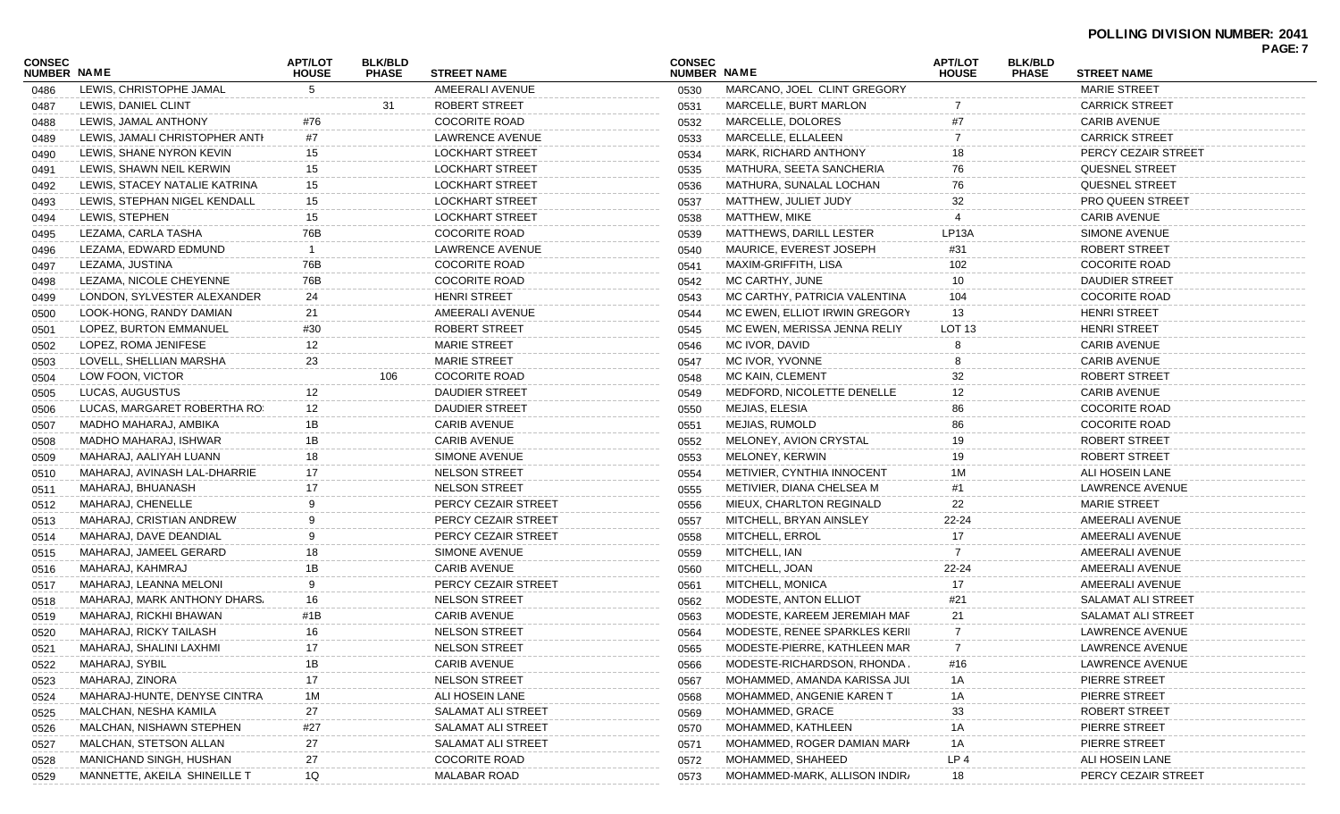#### **POLLING DIVISION NUMBER: 2041**

| CONSEC<br><b>NUMBER NAME</b> |                                | <b>APT/LOT</b><br><b>HOUSE</b> | <b>BLK/BLD</b><br><b>PHASE</b> | <b>STREET NAME</b>     | <b>CONSEC</b><br>NUMBER NAME |                               | <b>APT/LOT</b><br><b>HOUSE</b> | <b>BLK/BLD</b><br><b>PHASE</b> | <b>STREET NAME</b>      | PAGE: 7 |
|------------------------------|--------------------------------|--------------------------------|--------------------------------|------------------------|------------------------------|-------------------------------|--------------------------------|--------------------------------|-------------------------|---------|
| 0486                         | LEWIS, CHRISTOPHE JAMAL        | 5                              |                                | AMEERALI AVENUE        | 0530                         | MARCANO, JOEL CLINT GREGORY   |                                |                                | <b>MARIE STREET</b>     |         |
| 0487                         | LEWIS, DANIEL CLINT            |                                | 31                             | ROBERT STREET          | 0531                         | <b>MARCELLE, BURT MARLON</b>  |                                |                                | <b>CARRICK STREET</b>   |         |
| 0488                         | LEWIS, JAMAL ANTHONY           | #76                            |                                | <b>COCORITE ROAD</b>   | 0532                         | MARCELLE, DOLORES             |                                |                                | <b>CARIB AVENUE</b>     |         |
| 0489                         | LEWIS, JAMALI CHRISTOPHER ANTI | #7                             |                                | LAWRENCE AVENUE        | 0533                         | MARCELLE, ELLALEEN            |                                |                                | <b>CARRICK STREET</b>   |         |
| 0490                         | LEWIS, SHANE NYRON KEVIN       | 15                             |                                | LOCKHART STREET        | 0534                         | MARK, RICHARD ANTHONY         | 18                             |                                | PERCY CEZAIR STREET     |         |
| 0491                         | LEWIS, SHAWN NEIL KERWIN       | 15                             |                                | <b>LOCKHART STREET</b> | 0535                         | MATHURA, SEETA SANCHERIA      | 76                             |                                | <b>QUESNEL STREET</b>   |         |
| 0492                         | LEWIS, STACEY NATALIE KATRINA  | 15                             |                                | <b>LOCKHART STREET</b> | 0536                         | MATHURA, SUNALAL LOCHAN       | 76                             |                                | <b>QUESNEL STREET</b>   |         |
| 0493                         | LEWIS, STEPHAN NIGEL KENDALL   | 15                             |                                | LOCKHART STREET        | 0537                         | MATTHEW, JULIET JUDY          | 32                             |                                | <b>PRO QUEEN STREET</b> |         |
| 0494                         | LEWIS, STEPHEN                 | 15                             |                                | LOCKHART STREET        | 0538                         | MATTHEW, MIKE                 |                                |                                | <b>CARIB AVENUE</b>     |         |
| 0495                         | LEZAMA, CARLA TASHA            | 76B                            |                                | <b>COCORITE ROAD</b>   | 0539                         | MATTHEWS, DARILL LESTER       | LP <sub>13</sub> A             |                                | <b>SIMONE AVENUE</b>    |         |
| 0496                         | LEZAMA, EDWARD EDMUND          | -1                             |                                | LAWRENCE AVENUE        | 0540                         | MAURICE, EVEREST JOSEPH       | #31                            |                                | ROBERT STREET           |         |
| 0497                         | LEZAMA, JUSTINA                | 76B                            |                                | <b>COCORITE ROAD</b>   | 0541                         | MAXIM-GRIFFITH, LISA          | 102                            |                                | <b>COCORITE ROAD</b>    |         |
| 0498                         | LEZAMA, NICOLE CHEYENNE        | 76B                            |                                | <b>COCORITE ROAD</b>   | 0542                         | MC CARTHY, JUNE               | 10                             |                                | <b>DAUDIER STREET</b>   |         |
| 0499                         | LONDON, SYLVESTER ALEXANDER    | 24                             |                                | <b>HENRI STREET</b>    | 0543                         | MC CARTHY, PATRICIA VALENTINA | 104                            |                                | <b>COCORITE ROAD</b>    |         |
| 0500                         | LOOK-HONG, RANDY DAMIAN        | 21                             |                                | AMEERALI AVENUE        | 0544                         | MC EWEN, ELLIOT IRWIN GREGORY | 13                             |                                | <b>HENRI STREET</b>     |         |
| 0501                         | LOPEZ, BURTON EMMANUEL         | #30                            |                                | ROBERT STREET          | 0545                         | MC EWEN, MERISSA JENNA RELIY  | <b>LOT 13</b>                  |                                | <b>HENRI STREET</b>     |         |
| 0502                         | LOPEZ, ROMA JENIFESE           | 12                             |                                | <b>MARIE STREET</b>    | 0546                         | MC IVOR, DAVID                |                                |                                | <b>CARIB AVENUE</b>     |         |
| 0503                         | LOVELL, SHELLIAN MARSHA        | 23                             |                                | <b>MARIE STREET</b>    | 0547                         | MC IVOR, YVONNE               |                                |                                | <b>CARIB AVENUE</b>     |         |
| 0504                         | LOW FOON, VICTOR               |                                | 106                            | <b>COCORITE ROAD</b>   | 0548                         | MC KAIN, CLEMENT              | 32                             |                                | ROBERT STREET           |         |
| 0505                         | LUCAS, AUGUSTUS                | 12                             |                                | <b>DAUDIER STREET</b>  | 0549                         | MEDFORD, NICOLETTE DENELLE    | 12                             |                                | <b>CARIB AVENUE</b>     |         |
| 0506                         | LUCAS, MARGARET ROBERTHA RO:   | 12                             |                                | <b>DAUDIER STREET</b>  | 0550                         | MEJIAS, ELESIA                | 86                             |                                | <b>COCORITE ROAD</b>    |         |
| 0507                         | MADHO MAHARAJ, AMBIKA          | 1B                             |                                | <b>CARIB AVENUE</b>    | 0551                         | MEJIAS, RUMOLD                | 86                             |                                | <b>COCORITE ROAD</b>    |         |
| 0508                         | MADHO MAHARAJ, ISHWAR          | 1B                             |                                | <b>CARIB AVENUE</b>    | 0552                         | MELONEY, AVION CRYSTAL        | 19                             |                                | ROBERT STREET           |         |
| 0509                         | MAHARAJ, AALIYAH LUANN         | 18                             |                                | SIMONE AVENUE          | 0553                         | MELONEY, KERWIN               | 19                             |                                | ROBERT STREET           |         |
| 0510                         | MAHARAJ, AVINASH LAL-DHARRIE   | 17                             |                                | NELSON STREET          | 0554                         | METIVIER, CYNTHIA INNOCENT    |                                |                                | ALI HOSEIN LANE         |         |
| 0511                         | MAHARAJ, BHUANASH              | 17                             |                                | <b>NELSON STREET</b>   | 0555                         | METIVIER, DIANA CHELSEA M     |                                |                                | LAWRENCE AVENUE         |         |
| 0512                         | MAHARAJ, CHENELLE              | 9                              |                                | PERCY CEZAIR STREET    | 0556                         | MIEUX, CHARLTON REGINALD      | 22                             |                                | <b>MARIE STREET</b>     |         |
| 0513                         | MAHARAJ, CRISTIAN ANDREW       | 9                              |                                | PERCY CEZAIR STREET    | 0557                         | MITCHELL, BRYAN AINSLEY       | $22 - 24$                      |                                | AMEERALI AVENUE         |         |
| 0514                         | MAHARAJ, DAVE DEANDIAL         | 9                              |                                | PERCY CEZAIR STREET    | 0558                         | MITCHELL, ERROL               | 17                             |                                | AMEERALI AVENUE         |         |
| 0515                         | MAHARAJ, JAMEEL GERARD         | 18                             |                                | SIMONE AVENUE          | 0559                         | MITCHELL, IAN                 |                                |                                | AMEERALI AVENUE         |         |
| 0516                         | MAHARAJ, KAHMRAJ               | 1B                             |                                | <b>CARIB AVENUE</b>    | 0560                         | MITCHELL, JOAN                | 22-24                          |                                | AMEERALI AVENUE         |         |
| 0517                         | MAHARAJ, LEANNA MELONI         | 9                              |                                | PERCY CEZAIR STREET    | 0561                         | MITCHELL, MONICA              | 17                             |                                | AMEERALI AVENUE         |         |
| 0518                         | MAHARAJ, MARK ANTHONY DHARS.   | 16                             |                                | <b>NELSON STREET</b>   | 0562                         | MODESTE, ANTON ELLIOT         | #21                            |                                | SALAMAT ALI STREET      |         |
| 0519                         | MAHARAJ, RICKHI BHAWAN         | #1B                            |                                | <b>CARIB AVENUE</b>    | 0563                         | MODESTE, KAREEM JEREMIAH MAF  | 21                             |                                | SALAMAT ALI STREET      |         |
| 0520                         | MAHARAJ, RICKY TAILASH         | 16                             |                                | <b>NELSON STREET</b>   | 0564                         | MODESTE, RENEE SPARKLES KERII |                                |                                | LAWRENCE AVENUE         |         |
| 0521                         | MAHARAJ, SHALINI LAXHMI        | 17                             |                                | NELSON STREET          | 0565                         | MODESTE-PIERRE, KATHLEEN MAR  | $\overline{7}$                 |                                | LAWRENCE AVENUE         |         |
| 0522                         | MAHARAJ, SYBIL                 | 1B                             |                                | <b>CARIB AVENUE</b>    | 0566                         | MODESTE-RICHARDSON, RHONDA,   | #16                            |                                | LAWRENCE AVENUE         |         |
| 0523                         | MAHARAJ, ZINORA                | 17                             |                                | <b>NELSON STREET</b>   | 0567                         | MOHAMMED, AMANDA KARISSA JUL  | 1A                             |                                | PIERRE STREET           |         |
| 0524                         | MAHARAJ-HUNTE, DENYSE CINTRA   | 1M                             |                                | ALI HOSEIN LANE        | 0568                         | MOHAMMED, ANGENIE KAREN T     | 1A                             |                                | PIERRE STREET           |         |
| 0525                         | MALCHAN, NESHA KAMILA          | 27                             |                                | SALAMAT ALI STREET     | 0569                         | MOHAMMED, GRACE               | 33                             |                                | ROBERT STREET           |         |
| 0526                         | MALCHAN, NISHAWN STEPHEN       | #27                            |                                | SALAMAT ALI STREET     | 0570                         | MOHAMMED, KATHLEEN            | 1A                             |                                | PIERRE STREET           |         |
| 0527                         | MALCHAN, STETSON ALLAN         | 27                             |                                | SALAMAT ALI STREET     | 0571                         | MOHAMMED, ROGER DAMIAN MARI   | 1A                             |                                | PIERRE STREET           |         |
| 0528                         | MANICHAND SINGH, HUSHAN        | 27                             |                                | <b>COCORITE ROAD</b>   | 0572                         | MOHAMMED, SHAHEED             | LP <sub>4</sub>                |                                | ALI HOSEIN LANE         |         |
| 0529                         | MANNETTE, AKEILA SHINEILLE T   | 1Q                             |                                | <b>MALABAR ROAD</b>    | 0573                         | MOHAMMED-MARK, ALLISON INDIR/ | 18                             |                                | PERCY CEZAIR STREET     |         |
|                              |                                |                                |                                |                        |                              |                               |                                |                                |                         |         |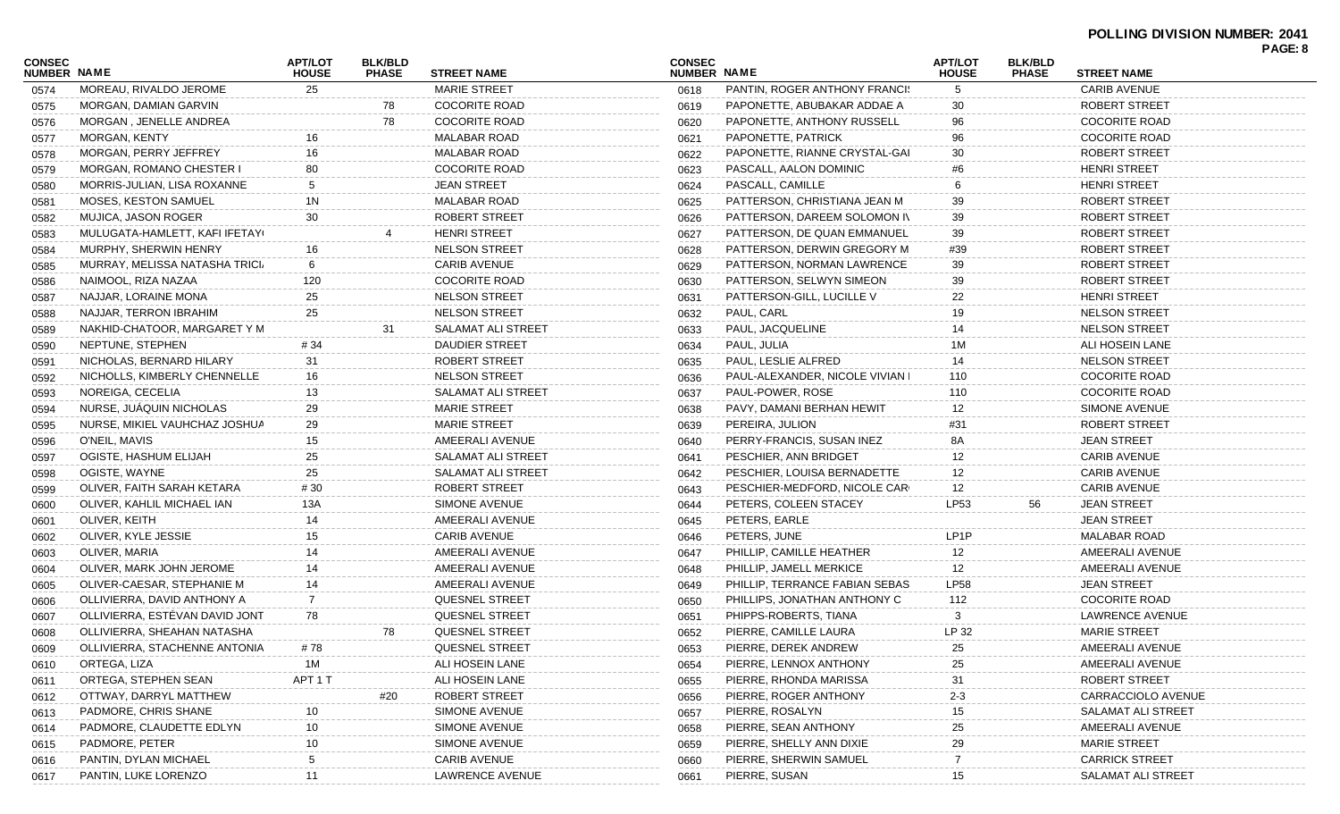#### **POLLING DIVISION NUMBER: 2041 PAGE: 8**

| <b>APT/LOT</b><br><b>BLK/BLD</b><br><b>CONSEC</b><br><b>APT/LOT</b><br><b>BLK/BLD</b><br><b>NUMBER NAME</b><br>NUMBER NAME<br><b>HOUSE</b><br><b>PHASE</b><br><b>STREET NAME</b><br><b>HOUSE</b><br><b>PHASE</b><br><b>STREET NAME</b><br><b>MARIE STREET</b><br><b>CARIB AVENUE</b><br>MOREAU, RIVALDO JEROME<br>25<br><b>PANTIN, ROGER ANTHONY FRANCIS</b><br>5<br>0618<br>0574<br>MORGAN, DAMIAN GARVIN<br>78<br><b>COCORITE ROAD</b><br>PAPONETTE, ABUBAKAR ADDAE A<br>ROBERT STREET<br>30<br>0575<br>0619<br>78<br>MORGAN, JENELLE ANDREA<br><b>COCORITE ROAD</b><br>PAPONETTE, ANTHONY RUSSELL<br><b>COCORITE ROAD</b><br>96<br>0620<br>0576<br><b>MALABAR ROAD</b><br><b>COCORITE ROAD</b><br>MORGAN, KENTY<br>PAPONETTE, PATRICK<br>96<br>16<br>0621<br>0577<br><b>MALABAR ROAD</b><br>MORGAN, PERRY JEFFREY<br>PAPONETTE, RIANNE CRYSTAL-GAI<br>30<br>ROBERT STREET<br>16<br>0622<br>0578<br>MORGAN, ROMANO CHESTER I<br>80<br><b>COCORITE ROAD</b><br>PASCALL, AALON DOMINIC<br><b>HENRI STREET</b><br>0623<br>#6<br>0579<br><b>JEAN STREET</b><br>PASCALL, CAMILLE<br>MORRIS-JULIAN, LISA ROXANNE<br>5<br><b>HENRI STREET</b><br>0624<br>0580<br><b>MALABAR ROAD</b><br><b>MOSES, KESTON SAMUEL</b><br>1N<br>PATTERSON, CHRISTIANA JEAN M<br>39<br>ROBERT STREET<br>0625<br>0581<br>MUJICA, JASON ROGER<br>ROBERT STREET<br>PATTERSON, DAREEM SOLOMON IV<br>39<br>ROBERT STREET<br>30<br>0626<br>0582<br><b>HENRI STREET</b><br>MULUGATA-HAMLETT, KAFI IFETAY(<br>PATTERSON, DE QUAN EMMANUEL<br>39<br>ROBERT STREET<br>0627<br>0583<br>MURPHY, SHERWIN HENRY<br><b>NELSON STREET</b><br>PATTERSON, DERWIN GREGORY M<br>ROBERT STREET<br>16<br>#39<br>0628<br>0584<br><b>CARIB AVENUE</b><br>MURRAY, MELISSA NATASHA TRICI<br>6<br>PATTERSON, NORMAN LAWRENCE<br>39<br>ROBERT STREET<br>0629<br>0585<br><b>COCORITE ROAD</b><br>NAIMOOL, RIZA NAZAA<br>120<br>PATTERSON, SELWYN SIMEON<br>39<br>ROBERT STREET<br>0630<br>0586<br><b>NELSON STREET</b><br>PATTERSON-GILL, LUCILLE V<br><b>HENRI STREET</b><br>NAJJAR, LORAINE MONA<br>25<br>22<br>0631<br>0587<br>PAUL, CARL<br>NAJJAR, TERRON IBRAHIM<br>25<br><b>NELSON STREET</b><br>19<br><b>NELSON STREET</b><br>0632<br>0588<br>PAUL, JACQUELINE<br>NAKHID-CHATOOR, MARGARET Y M<br>SALAMAT ALI STREET<br><b>NELSON STREET</b><br>31<br>14<br>0633<br>0589<br>NEPTUNE, STEPHEN<br># 34<br>DAUDIER STREET<br>PAUL, JULIA<br>1M<br>ALI HOSEIN LANE<br>0634<br>0590<br>PAUL, LESLIE ALFRED<br><b>NELSON STREET</b><br>NICHOLAS, BERNARD HILARY<br>31<br>ROBERT STREET<br>0635<br>0591<br><b>COCORITE ROAD</b><br>NICHOLLS, KIMBERLY CHENNELLE<br>16<br><b>NELSON STREET</b><br>PAUL-ALEXANDER, NICOLE VIVIAN I<br>0636<br>110<br>0592<br>NOREIGA, CECELIA<br>13<br>SALAMAT ALI STREET<br>PAUL-POWER, ROSE<br>110<br><b>COCORITE ROAD</b><br>0637<br>0593<br>NURSE, JUÁQUIN NICHOLAS<br>29<br><b>MARIE STREET</b><br>PAVY, DAMANI BERHAN HEWIT<br>12<br>SIMONE AVENUE<br>0638<br>0594<br>NURSE, MIKIEL VAUHCHAZ JOSHUA<br>29<br><b>MARIE STREET</b><br>ROBERT STREET<br>PEREIRA, JULION<br>0639<br>#31<br>0595<br>15<br>AMEERALI AVENUE<br><b>JEAN STREET</b><br>O'NEIL, MAVIS<br>PERRY-FRANCIS, SUSAN INEZ<br>8A<br>0640<br>0596<br><b>CARIB AVENUE</b><br>OGISTE, HASHUM ELIJAH<br>25<br>SALAMAT ALI STREET<br>PESCHIER, ANN BRIDGET<br>12<br>0641<br>0597<br>25<br><b>CARIB AVENUE</b><br>OGISTE, WAYNE<br>SALAMAT ALI STREET<br>PESCHIER, LOUISA BERNADETTE<br>12<br>0642<br>0598<br>ROBERT STREET<br><b>CARIB AVENUE</b><br>OLIVER, FAITH SARAH KETARA<br># 30<br>PESCHIER-MEDFORD, NICOLE CARI<br>12<br>0643<br>0599<br>OLIVER, KAHLIL MICHAEL IAN<br>SIMONE AVENUE<br><b>JEAN STREET</b><br>13A<br>PETERS, COLEEN STACEY<br>LP53<br>56<br>0644<br>0600<br>AMEERALI AVENUE<br>OLIVER, KEITH<br>14<br>PETERS, EARLE<br><b>JEAN STREET</b><br>0645<br>0601<br>15<br><b>CARIB AVENUE</b><br>OLIVER, KYLE JESSIE<br>PETERS, JUNE<br>LP1P<br><b>MALABAR ROAD</b><br>0646<br>0602<br>AMEERALI AVENUE<br>OLIVER, MARIA<br>14<br>PHILLIP, CAMILLE HEATHER<br>12<br>AMEERALI AVENUE<br>0647<br>0603<br>AMEERALI AVENUE<br>AMEERALI AVENUE<br>OLIVER, MARK JOHN JEROME<br>PHILLIP, JAMELL MERKICE<br>14<br>12<br>0648<br>0604<br>AMEERALI AVENUE<br><b>JEAN STREET</b><br>OLIVER-CAESAR, STEPHANIE M<br>PHILLIP, TERRANCE FABIAN SEBAS<br>LP58<br>14<br>0649<br>0605<br>OLLIVIERRA, DAVID ANTHONY A<br>7<br>QUESNEL STREET<br>PHILLIPS, JONATHAN ANTHONY C<br>112<br><b>COCORITE ROAD</b><br>0650<br>0606<br>OLLIVIERRA, ESTÉVAN DAVID JONT<br>78<br><b>QUESNEL STREET</b><br>PHIPPS-ROBERTS, TIANA<br>LAWRENCE AVENUE<br>0651<br>0607<br>QUESNEL STREET<br>PIERRE, CAMILLE LAURA<br>LP 32<br><b>MARIE STREET</b><br>OLLIVIERRA, SHEAHAN NATASHA<br>78<br>0652<br>0608<br>QUESNEL STREET<br>PIERRE, DEREK ANDREW<br>OLLIVIERRA, STACHENNE ANTONIA<br>AMEERALI AVENUE<br># 78<br>0609<br>0653<br>25<br>ORTEGA, LIZA<br>1M<br>ALI HOSEIN LANE<br>PIERRE, LENNOX ANTHONY<br>AMEERALI AVENUE<br>0654<br>25<br>0610<br>ORTEGA, STEPHEN SEAN<br>ALI HOSEIN LANE<br>PIERRE, RHONDA MARISSA<br>ROBERT STREET<br>APT 1 T<br>0655<br>31<br>0611<br><b>ROBERT STREET</b><br>OTTWAY, DARRYL MATTHEW<br>#20<br>PIERRE, ROGER ANTHONY<br>$2 - 3$<br>CARRACCIOLO AVENUE<br>0656<br>0612<br>SIMONE AVENUE<br>PIERRE, ROSALYN<br>PADMORE, CHRIS SHANE<br>SALAMAT ALI STREET<br>0657<br>0613<br>PADMORE, CLAUDETTE EDLYN<br>10<br>SIMONE AVENUE<br>PIERRE, SEAN ANTHONY<br>AMEERALI AVENUE<br>0658<br>25<br>0614<br>PADMORE, PETER<br>10<br>SIMONE AVENUE<br>PIERRE, SHELLY ANN DIXIE<br>29<br><b>MARIE STREET</b><br>0659<br>0615<br><b>CARIB AVENUE</b><br>PIERRE, SHERWIN SAMUEL<br><b>CARRICK STREET</b><br>PANTIN, DYLAN MICHAEL<br>0660<br>0616<br>PANTIN, LUKE LORENZO<br>LAWRENCE AVENUE<br>PIERRE, SUSAN<br>SALAMAT ALI STREET<br>11<br>0617<br>0661<br>15 |        |  |  |  |  | FAUE.O |
|-----------------------------------------------------------------------------------------------------------------------------------------------------------------------------------------------------------------------------------------------------------------------------------------------------------------------------------------------------------------------------------------------------------------------------------------------------------------------------------------------------------------------------------------------------------------------------------------------------------------------------------------------------------------------------------------------------------------------------------------------------------------------------------------------------------------------------------------------------------------------------------------------------------------------------------------------------------------------------------------------------------------------------------------------------------------------------------------------------------------------------------------------------------------------------------------------------------------------------------------------------------------------------------------------------------------------------------------------------------------------------------------------------------------------------------------------------------------------------------------------------------------------------------------------------------------------------------------------------------------------------------------------------------------------------------------------------------------------------------------------------------------------------------------------------------------------------------------------------------------------------------------------------------------------------------------------------------------------------------------------------------------------------------------------------------------------------------------------------------------------------------------------------------------------------------------------------------------------------------------------------------------------------------------------------------------------------------------------------------------------------------------------------------------------------------------------------------------------------------------------------------------------------------------------------------------------------------------------------------------------------------------------------------------------------------------------------------------------------------------------------------------------------------------------------------------------------------------------------------------------------------------------------------------------------------------------------------------------------------------------------------------------------------------------------------------------------------------------------------------------------------------------------------------------------------------------------------------------------------------------------------------------------------------------------------------------------------------------------------------------------------------------------------------------------------------------------------------------------------------------------------------------------------------------------------------------------------------------------------------------------------------------------------------------------------------------------------------------------------------------------------------------------------------------------------------------------------------------------------------------------------------------------------------------------------------------------------------------------------------------------------------------------------------------------------------------------------------------------------------------------------------------------------------------------------------------------------------------------------------------------------------------------------------------------------------------------------------------------------------------------------------------------------------------------------------------------------------------------------------------------------------------------------------------------------------------------------------------------------------------------------------------------------------------------------------------------------------------------------------------------------------------------------------------------------------------------------------------------------------------------------------------------------------------------------------------------------------------------------------------------------------------------------------------------------------------------------------------------------------------------------------------------------------------------------------------------------------------------------------------------------------------------------------------------------------------------------------------------------------------------------------------------------------------------------------------------------------------------------------------------------------------------------------------------------------------------------------------------------------------------------------------------------------------------------------------------------------------------------------------------------------------------------------------------------|--------|--|--|--|--|--------|
|                                                                                                                                                                                                                                                                                                                                                                                                                                                                                                                                                                                                                                                                                                                                                                                                                                                                                                                                                                                                                                                                                                                                                                                                                                                                                                                                                                                                                                                                                                                                                                                                                                                                                                                                                                                                                                                                                                                                                                                                                                                                                                                                                                                                                                                                                                                                                                                                                                                                                                                                                                                                                                                                                                                                                                                                                                                                                                                                                                                                                                                                                                                                                                                                                                                                                                                                                                                                                                                                                                                                                                                                                                                                                                                                                                                                                                                                                                                                                                                                                                                                                                                                                                                                                                                                                                                                                                                                                                                                                                                                                                                                                                                                                                                                                                                                                                                                                                                                                                                                                                                                                                                                                                                                                                                                                                                                                                                                                                                                                                                                                                                                                                                                                                                                                                                                           | CONSEC |  |  |  |  |        |
|                                                                                                                                                                                                                                                                                                                                                                                                                                                                                                                                                                                                                                                                                                                                                                                                                                                                                                                                                                                                                                                                                                                                                                                                                                                                                                                                                                                                                                                                                                                                                                                                                                                                                                                                                                                                                                                                                                                                                                                                                                                                                                                                                                                                                                                                                                                                                                                                                                                                                                                                                                                                                                                                                                                                                                                                                                                                                                                                                                                                                                                                                                                                                                                                                                                                                                                                                                                                                                                                                                                                                                                                                                                                                                                                                                                                                                                                                                                                                                                                                                                                                                                                                                                                                                                                                                                                                                                                                                                                                                                                                                                                                                                                                                                                                                                                                                                                                                                                                                                                                                                                                                                                                                                                                                                                                                                                                                                                                                                                                                                                                                                                                                                                                                                                                                                                           |        |  |  |  |  |        |
|                                                                                                                                                                                                                                                                                                                                                                                                                                                                                                                                                                                                                                                                                                                                                                                                                                                                                                                                                                                                                                                                                                                                                                                                                                                                                                                                                                                                                                                                                                                                                                                                                                                                                                                                                                                                                                                                                                                                                                                                                                                                                                                                                                                                                                                                                                                                                                                                                                                                                                                                                                                                                                                                                                                                                                                                                                                                                                                                                                                                                                                                                                                                                                                                                                                                                                                                                                                                                                                                                                                                                                                                                                                                                                                                                                                                                                                                                                                                                                                                                                                                                                                                                                                                                                                                                                                                                                                                                                                                                                                                                                                                                                                                                                                                                                                                                                                                                                                                                                                                                                                                                                                                                                                                                                                                                                                                                                                                                                                                                                                                                                                                                                                                                                                                                                                                           |        |  |  |  |  |        |
|                                                                                                                                                                                                                                                                                                                                                                                                                                                                                                                                                                                                                                                                                                                                                                                                                                                                                                                                                                                                                                                                                                                                                                                                                                                                                                                                                                                                                                                                                                                                                                                                                                                                                                                                                                                                                                                                                                                                                                                                                                                                                                                                                                                                                                                                                                                                                                                                                                                                                                                                                                                                                                                                                                                                                                                                                                                                                                                                                                                                                                                                                                                                                                                                                                                                                                                                                                                                                                                                                                                                                                                                                                                                                                                                                                                                                                                                                                                                                                                                                                                                                                                                                                                                                                                                                                                                                                                                                                                                                                                                                                                                                                                                                                                                                                                                                                                                                                                                                                                                                                                                                                                                                                                                                                                                                                                                                                                                                                                                                                                                                                                                                                                                                                                                                                                                           |        |  |  |  |  |        |
|                                                                                                                                                                                                                                                                                                                                                                                                                                                                                                                                                                                                                                                                                                                                                                                                                                                                                                                                                                                                                                                                                                                                                                                                                                                                                                                                                                                                                                                                                                                                                                                                                                                                                                                                                                                                                                                                                                                                                                                                                                                                                                                                                                                                                                                                                                                                                                                                                                                                                                                                                                                                                                                                                                                                                                                                                                                                                                                                                                                                                                                                                                                                                                                                                                                                                                                                                                                                                                                                                                                                                                                                                                                                                                                                                                                                                                                                                                                                                                                                                                                                                                                                                                                                                                                                                                                                                                                                                                                                                                                                                                                                                                                                                                                                                                                                                                                                                                                                                                                                                                                                                                                                                                                                                                                                                                                                                                                                                                                                                                                                                                                                                                                                                                                                                                                                           |        |  |  |  |  |        |
|                                                                                                                                                                                                                                                                                                                                                                                                                                                                                                                                                                                                                                                                                                                                                                                                                                                                                                                                                                                                                                                                                                                                                                                                                                                                                                                                                                                                                                                                                                                                                                                                                                                                                                                                                                                                                                                                                                                                                                                                                                                                                                                                                                                                                                                                                                                                                                                                                                                                                                                                                                                                                                                                                                                                                                                                                                                                                                                                                                                                                                                                                                                                                                                                                                                                                                                                                                                                                                                                                                                                                                                                                                                                                                                                                                                                                                                                                                                                                                                                                                                                                                                                                                                                                                                                                                                                                                                                                                                                                                                                                                                                                                                                                                                                                                                                                                                                                                                                                                                                                                                                                                                                                                                                                                                                                                                                                                                                                                                                                                                                                                                                                                                                                                                                                                                                           |        |  |  |  |  |        |
|                                                                                                                                                                                                                                                                                                                                                                                                                                                                                                                                                                                                                                                                                                                                                                                                                                                                                                                                                                                                                                                                                                                                                                                                                                                                                                                                                                                                                                                                                                                                                                                                                                                                                                                                                                                                                                                                                                                                                                                                                                                                                                                                                                                                                                                                                                                                                                                                                                                                                                                                                                                                                                                                                                                                                                                                                                                                                                                                                                                                                                                                                                                                                                                                                                                                                                                                                                                                                                                                                                                                                                                                                                                                                                                                                                                                                                                                                                                                                                                                                                                                                                                                                                                                                                                                                                                                                                                                                                                                                                                                                                                                                                                                                                                                                                                                                                                                                                                                                                                                                                                                                                                                                                                                                                                                                                                                                                                                                                                                                                                                                                                                                                                                                                                                                                                                           |        |  |  |  |  |        |
|                                                                                                                                                                                                                                                                                                                                                                                                                                                                                                                                                                                                                                                                                                                                                                                                                                                                                                                                                                                                                                                                                                                                                                                                                                                                                                                                                                                                                                                                                                                                                                                                                                                                                                                                                                                                                                                                                                                                                                                                                                                                                                                                                                                                                                                                                                                                                                                                                                                                                                                                                                                                                                                                                                                                                                                                                                                                                                                                                                                                                                                                                                                                                                                                                                                                                                                                                                                                                                                                                                                                                                                                                                                                                                                                                                                                                                                                                                                                                                                                                                                                                                                                                                                                                                                                                                                                                                                                                                                                                                                                                                                                                                                                                                                                                                                                                                                                                                                                                                                                                                                                                                                                                                                                                                                                                                                                                                                                                                                                                                                                                                                                                                                                                                                                                                                                           |        |  |  |  |  |        |
|                                                                                                                                                                                                                                                                                                                                                                                                                                                                                                                                                                                                                                                                                                                                                                                                                                                                                                                                                                                                                                                                                                                                                                                                                                                                                                                                                                                                                                                                                                                                                                                                                                                                                                                                                                                                                                                                                                                                                                                                                                                                                                                                                                                                                                                                                                                                                                                                                                                                                                                                                                                                                                                                                                                                                                                                                                                                                                                                                                                                                                                                                                                                                                                                                                                                                                                                                                                                                                                                                                                                                                                                                                                                                                                                                                                                                                                                                                                                                                                                                                                                                                                                                                                                                                                                                                                                                                                                                                                                                                                                                                                                                                                                                                                                                                                                                                                                                                                                                                                                                                                                                                                                                                                                                                                                                                                                                                                                                                                                                                                                                                                                                                                                                                                                                                                                           |        |  |  |  |  |        |
|                                                                                                                                                                                                                                                                                                                                                                                                                                                                                                                                                                                                                                                                                                                                                                                                                                                                                                                                                                                                                                                                                                                                                                                                                                                                                                                                                                                                                                                                                                                                                                                                                                                                                                                                                                                                                                                                                                                                                                                                                                                                                                                                                                                                                                                                                                                                                                                                                                                                                                                                                                                                                                                                                                                                                                                                                                                                                                                                                                                                                                                                                                                                                                                                                                                                                                                                                                                                                                                                                                                                                                                                                                                                                                                                                                                                                                                                                                                                                                                                                                                                                                                                                                                                                                                                                                                                                                                                                                                                                                                                                                                                                                                                                                                                                                                                                                                                                                                                                                                                                                                                                                                                                                                                                                                                                                                                                                                                                                                                                                                                                                                                                                                                                                                                                                                                           |        |  |  |  |  |        |
|                                                                                                                                                                                                                                                                                                                                                                                                                                                                                                                                                                                                                                                                                                                                                                                                                                                                                                                                                                                                                                                                                                                                                                                                                                                                                                                                                                                                                                                                                                                                                                                                                                                                                                                                                                                                                                                                                                                                                                                                                                                                                                                                                                                                                                                                                                                                                                                                                                                                                                                                                                                                                                                                                                                                                                                                                                                                                                                                                                                                                                                                                                                                                                                                                                                                                                                                                                                                                                                                                                                                                                                                                                                                                                                                                                                                                                                                                                                                                                                                                                                                                                                                                                                                                                                                                                                                                                                                                                                                                                                                                                                                                                                                                                                                                                                                                                                                                                                                                                                                                                                                                                                                                                                                                                                                                                                                                                                                                                                                                                                                                                                                                                                                                                                                                                                                           |        |  |  |  |  |        |
|                                                                                                                                                                                                                                                                                                                                                                                                                                                                                                                                                                                                                                                                                                                                                                                                                                                                                                                                                                                                                                                                                                                                                                                                                                                                                                                                                                                                                                                                                                                                                                                                                                                                                                                                                                                                                                                                                                                                                                                                                                                                                                                                                                                                                                                                                                                                                                                                                                                                                                                                                                                                                                                                                                                                                                                                                                                                                                                                                                                                                                                                                                                                                                                                                                                                                                                                                                                                                                                                                                                                                                                                                                                                                                                                                                                                                                                                                                                                                                                                                                                                                                                                                                                                                                                                                                                                                                                                                                                                                                                                                                                                                                                                                                                                                                                                                                                                                                                                                                                                                                                                                                                                                                                                                                                                                                                                                                                                                                                                                                                                                                                                                                                                                                                                                                                                           |        |  |  |  |  |        |
|                                                                                                                                                                                                                                                                                                                                                                                                                                                                                                                                                                                                                                                                                                                                                                                                                                                                                                                                                                                                                                                                                                                                                                                                                                                                                                                                                                                                                                                                                                                                                                                                                                                                                                                                                                                                                                                                                                                                                                                                                                                                                                                                                                                                                                                                                                                                                                                                                                                                                                                                                                                                                                                                                                                                                                                                                                                                                                                                                                                                                                                                                                                                                                                                                                                                                                                                                                                                                                                                                                                                                                                                                                                                                                                                                                                                                                                                                                                                                                                                                                                                                                                                                                                                                                                                                                                                                                                                                                                                                                                                                                                                                                                                                                                                                                                                                                                                                                                                                                                                                                                                                                                                                                                                                                                                                                                                                                                                                                                                                                                                                                                                                                                                                                                                                                                                           |        |  |  |  |  |        |
|                                                                                                                                                                                                                                                                                                                                                                                                                                                                                                                                                                                                                                                                                                                                                                                                                                                                                                                                                                                                                                                                                                                                                                                                                                                                                                                                                                                                                                                                                                                                                                                                                                                                                                                                                                                                                                                                                                                                                                                                                                                                                                                                                                                                                                                                                                                                                                                                                                                                                                                                                                                                                                                                                                                                                                                                                                                                                                                                                                                                                                                                                                                                                                                                                                                                                                                                                                                                                                                                                                                                                                                                                                                                                                                                                                                                                                                                                                                                                                                                                                                                                                                                                                                                                                                                                                                                                                                                                                                                                                                                                                                                                                                                                                                                                                                                                                                                                                                                                                                                                                                                                                                                                                                                                                                                                                                                                                                                                                                                                                                                                                                                                                                                                                                                                                                                           |        |  |  |  |  |        |
|                                                                                                                                                                                                                                                                                                                                                                                                                                                                                                                                                                                                                                                                                                                                                                                                                                                                                                                                                                                                                                                                                                                                                                                                                                                                                                                                                                                                                                                                                                                                                                                                                                                                                                                                                                                                                                                                                                                                                                                                                                                                                                                                                                                                                                                                                                                                                                                                                                                                                                                                                                                                                                                                                                                                                                                                                                                                                                                                                                                                                                                                                                                                                                                                                                                                                                                                                                                                                                                                                                                                                                                                                                                                                                                                                                                                                                                                                                                                                                                                                                                                                                                                                                                                                                                                                                                                                                                                                                                                                                                                                                                                                                                                                                                                                                                                                                                                                                                                                                                                                                                                                                                                                                                                                                                                                                                                                                                                                                                                                                                                                                                                                                                                                                                                                                                                           |        |  |  |  |  |        |
|                                                                                                                                                                                                                                                                                                                                                                                                                                                                                                                                                                                                                                                                                                                                                                                                                                                                                                                                                                                                                                                                                                                                                                                                                                                                                                                                                                                                                                                                                                                                                                                                                                                                                                                                                                                                                                                                                                                                                                                                                                                                                                                                                                                                                                                                                                                                                                                                                                                                                                                                                                                                                                                                                                                                                                                                                                                                                                                                                                                                                                                                                                                                                                                                                                                                                                                                                                                                                                                                                                                                                                                                                                                                                                                                                                                                                                                                                                                                                                                                                                                                                                                                                                                                                                                                                                                                                                                                                                                                                                                                                                                                                                                                                                                                                                                                                                                                                                                                                                                                                                                                                                                                                                                                                                                                                                                                                                                                                                                                                                                                                                                                                                                                                                                                                                                                           |        |  |  |  |  |        |
|                                                                                                                                                                                                                                                                                                                                                                                                                                                                                                                                                                                                                                                                                                                                                                                                                                                                                                                                                                                                                                                                                                                                                                                                                                                                                                                                                                                                                                                                                                                                                                                                                                                                                                                                                                                                                                                                                                                                                                                                                                                                                                                                                                                                                                                                                                                                                                                                                                                                                                                                                                                                                                                                                                                                                                                                                                                                                                                                                                                                                                                                                                                                                                                                                                                                                                                                                                                                                                                                                                                                                                                                                                                                                                                                                                                                                                                                                                                                                                                                                                                                                                                                                                                                                                                                                                                                                                                                                                                                                                                                                                                                                                                                                                                                                                                                                                                                                                                                                                                                                                                                                                                                                                                                                                                                                                                                                                                                                                                                                                                                                                                                                                                                                                                                                                                                           |        |  |  |  |  |        |
|                                                                                                                                                                                                                                                                                                                                                                                                                                                                                                                                                                                                                                                                                                                                                                                                                                                                                                                                                                                                                                                                                                                                                                                                                                                                                                                                                                                                                                                                                                                                                                                                                                                                                                                                                                                                                                                                                                                                                                                                                                                                                                                                                                                                                                                                                                                                                                                                                                                                                                                                                                                                                                                                                                                                                                                                                                                                                                                                                                                                                                                                                                                                                                                                                                                                                                                                                                                                                                                                                                                                                                                                                                                                                                                                                                                                                                                                                                                                                                                                                                                                                                                                                                                                                                                                                                                                                                                                                                                                                                                                                                                                                                                                                                                                                                                                                                                                                                                                                                                                                                                                                                                                                                                                                                                                                                                                                                                                                                                                                                                                                                                                                                                                                                                                                                                                           |        |  |  |  |  |        |
|                                                                                                                                                                                                                                                                                                                                                                                                                                                                                                                                                                                                                                                                                                                                                                                                                                                                                                                                                                                                                                                                                                                                                                                                                                                                                                                                                                                                                                                                                                                                                                                                                                                                                                                                                                                                                                                                                                                                                                                                                                                                                                                                                                                                                                                                                                                                                                                                                                                                                                                                                                                                                                                                                                                                                                                                                                                                                                                                                                                                                                                                                                                                                                                                                                                                                                                                                                                                                                                                                                                                                                                                                                                                                                                                                                                                                                                                                                                                                                                                                                                                                                                                                                                                                                                                                                                                                                                                                                                                                                                                                                                                                                                                                                                                                                                                                                                                                                                                                                                                                                                                                                                                                                                                                                                                                                                                                                                                                                                                                                                                                                                                                                                                                                                                                                                                           |        |  |  |  |  |        |
|                                                                                                                                                                                                                                                                                                                                                                                                                                                                                                                                                                                                                                                                                                                                                                                                                                                                                                                                                                                                                                                                                                                                                                                                                                                                                                                                                                                                                                                                                                                                                                                                                                                                                                                                                                                                                                                                                                                                                                                                                                                                                                                                                                                                                                                                                                                                                                                                                                                                                                                                                                                                                                                                                                                                                                                                                                                                                                                                                                                                                                                                                                                                                                                                                                                                                                                                                                                                                                                                                                                                                                                                                                                                                                                                                                                                                                                                                                                                                                                                                                                                                                                                                                                                                                                                                                                                                                                                                                                                                                                                                                                                                                                                                                                                                                                                                                                                                                                                                                                                                                                                                                                                                                                                                                                                                                                                                                                                                                                                                                                                                                                                                                                                                                                                                                                                           |        |  |  |  |  |        |
|                                                                                                                                                                                                                                                                                                                                                                                                                                                                                                                                                                                                                                                                                                                                                                                                                                                                                                                                                                                                                                                                                                                                                                                                                                                                                                                                                                                                                                                                                                                                                                                                                                                                                                                                                                                                                                                                                                                                                                                                                                                                                                                                                                                                                                                                                                                                                                                                                                                                                                                                                                                                                                                                                                                                                                                                                                                                                                                                                                                                                                                                                                                                                                                                                                                                                                                                                                                                                                                                                                                                                                                                                                                                                                                                                                                                                                                                                                                                                                                                                                                                                                                                                                                                                                                                                                                                                                                                                                                                                                                                                                                                                                                                                                                                                                                                                                                                                                                                                                                                                                                                                                                                                                                                                                                                                                                                                                                                                                                                                                                                                                                                                                                                                                                                                                                                           |        |  |  |  |  |        |
|                                                                                                                                                                                                                                                                                                                                                                                                                                                                                                                                                                                                                                                                                                                                                                                                                                                                                                                                                                                                                                                                                                                                                                                                                                                                                                                                                                                                                                                                                                                                                                                                                                                                                                                                                                                                                                                                                                                                                                                                                                                                                                                                                                                                                                                                                                                                                                                                                                                                                                                                                                                                                                                                                                                                                                                                                                                                                                                                                                                                                                                                                                                                                                                                                                                                                                                                                                                                                                                                                                                                                                                                                                                                                                                                                                                                                                                                                                                                                                                                                                                                                                                                                                                                                                                                                                                                                                                                                                                                                                                                                                                                                                                                                                                                                                                                                                                                                                                                                                                                                                                                                                                                                                                                                                                                                                                                                                                                                                                                                                                                                                                                                                                                                                                                                                                                           |        |  |  |  |  |        |
|                                                                                                                                                                                                                                                                                                                                                                                                                                                                                                                                                                                                                                                                                                                                                                                                                                                                                                                                                                                                                                                                                                                                                                                                                                                                                                                                                                                                                                                                                                                                                                                                                                                                                                                                                                                                                                                                                                                                                                                                                                                                                                                                                                                                                                                                                                                                                                                                                                                                                                                                                                                                                                                                                                                                                                                                                                                                                                                                                                                                                                                                                                                                                                                                                                                                                                                                                                                                                                                                                                                                                                                                                                                                                                                                                                                                                                                                                                                                                                                                                                                                                                                                                                                                                                                                                                                                                                                                                                                                                                                                                                                                                                                                                                                                                                                                                                                                                                                                                                                                                                                                                                                                                                                                                                                                                                                                                                                                                                                                                                                                                                                                                                                                                                                                                                                                           |        |  |  |  |  |        |
|                                                                                                                                                                                                                                                                                                                                                                                                                                                                                                                                                                                                                                                                                                                                                                                                                                                                                                                                                                                                                                                                                                                                                                                                                                                                                                                                                                                                                                                                                                                                                                                                                                                                                                                                                                                                                                                                                                                                                                                                                                                                                                                                                                                                                                                                                                                                                                                                                                                                                                                                                                                                                                                                                                                                                                                                                                                                                                                                                                                                                                                                                                                                                                                                                                                                                                                                                                                                                                                                                                                                                                                                                                                                                                                                                                                                                                                                                                                                                                                                                                                                                                                                                                                                                                                                                                                                                                                                                                                                                                                                                                                                                                                                                                                                                                                                                                                                                                                                                                                                                                                                                                                                                                                                                                                                                                                                                                                                                                                                                                                                                                                                                                                                                                                                                                                                           |        |  |  |  |  |        |
|                                                                                                                                                                                                                                                                                                                                                                                                                                                                                                                                                                                                                                                                                                                                                                                                                                                                                                                                                                                                                                                                                                                                                                                                                                                                                                                                                                                                                                                                                                                                                                                                                                                                                                                                                                                                                                                                                                                                                                                                                                                                                                                                                                                                                                                                                                                                                                                                                                                                                                                                                                                                                                                                                                                                                                                                                                                                                                                                                                                                                                                                                                                                                                                                                                                                                                                                                                                                                                                                                                                                                                                                                                                                                                                                                                                                                                                                                                                                                                                                                                                                                                                                                                                                                                                                                                                                                                                                                                                                                                                                                                                                                                                                                                                                                                                                                                                                                                                                                                                                                                                                                                                                                                                                                                                                                                                                                                                                                                                                                                                                                                                                                                                                                                                                                                                                           |        |  |  |  |  |        |
|                                                                                                                                                                                                                                                                                                                                                                                                                                                                                                                                                                                                                                                                                                                                                                                                                                                                                                                                                                                                                                                                                                                                                                                                                                                                                                                                                                                                                                                                                                                                                                                                                                                                                                                                                                                                                                                                                                                                                                                                                                                                                                                                                                                                                                                                                                                                                                                                                                                                                                                                                                                                                                                                                                                                                                                                                                                                                                                                                                                                                                                                                                                                                                                                                                                                                                                                                                                                                                                                                                                                                                                                                                                                                                                                                                                                                                                                                                                                                                                                                                                                                                                                                                                                                                                                                                                                                                                                                                                                                                                                                                                                                                                                                                                                                                                                                                                                                                                                                                                                                                                                                                                                                                                                                                                                                                                                                                                                                                                                                                                                                                                                                                                                                                                                                                                                           |        |  |  |  |  |        |
|                                                                                                                                                                                                                                                                                                                                                                                                                                                                                                                                                                                                                                                                                                                                                                                                                                                                                                                                                                                                                                                                                                                                                                                                                                                                                                                                                                                                                                                                                                                                                                                                                                                                                                                                                                                                                                                                                                                                                                                                                                                                                                                                                                                                                                                                                                                                                                                                                                                                                                                                                                                                                                                                                                                                                                                                                                                                                                                                                                                                                                                                                                                                                                                                                                                                                                                                                                                                                                                                                                                                                                                                                                                                                                                                                                                                                                                                                                                                                                                                                                                                                                                                                                                                                                                                                                                                                                                                                                                                                                                                                                                                                                                                                                                                                                                                                                                                                                                                                                                                                                                                                                                                                                                                                                                                                                                                                                                                                                                                                                                                                                                                                                                                                                                                                                                                           |        |  |  |  |  |        |
|                                                                                                                                                                                                                                                                                                                                                                                                                                                                                                                                                                                                                                                                                                                                                                                                                                                                                                                                                                                                                                                                                                                                                                                                                                                                                                                                                                                                                                                                                                                                                                                                                                                                                                                                                                                                                                                                                                                                                                                                                                                                                                                                                                                                                                                                                                                                                                                                                                                                                                                                                                                                                                                                                                                                                                                                                                                                                                                                                                                                                                                                                                                                                                                                                                                                                                                                                                                                                                                                                                                                                                                                                                                                                                                                                                                                                                                                                                                                                                                                                                                                                                                                                                                                                                                                                                                                                                                                                                                                                                                                                                                                                                                                                                                                                                                                                                                                                                                                                                                                                                                                                                                                                                                                                                                                                                                                                                                                                                                                                                                                                                                                                                                                                                                                                                                                           |        |  |  |  |  |        |
|                                                                                                                                                                                                                                                                                                                                                                                                                                                                                                                                                                                                                                                                                                                                                                                                                                                                                                                                                                                                                                                                                                                                                                                                                                                                                                                                                                                                                                                                                                                                                                                                                                                                                                                                                                                                                                                                                                                                                                                                                                                                                                                                                                                                                                                                                                                                                                                                                                                                                                                                                                                                                                                                                                                                                                                                                                                                                                                                                                                                                                                                                                                                                                                                                                                                                                                                                                                                                                                                                                                                                                                                                                                                                                                                                                                                                                                                                                                                                                                                                                                                                                                                                                                                                                                                                                                                                                                                                                                                                                                                                                                                                                                                                                                                                                                                                                                                                                                                                                                                                                                                                                                                                                                                                                                                                                                                                                                                                                                                                                                                                                                                                                                                                                                                                                                                           |        |  |  |  |  |        |
|                                                                                                                                                                                                                                                                                                                                                                                                                                                                                                                                                                                                                                                                                                                                                                                                                                                                                                                                                                                                                                                                                                                                                                                                                                                                                                                                                                                                                                                                                                                                                                                                                                                                                                                                                                                                                                                                                                                                                                                                                                                                                                                                                                                                                                                                                                                                                                                                                                                                                                                                                                                                                                                                                                                                                                                                                                                                                                                                                                                                                                                                                                                                                                                                                                                                                                                                                                                                                                                                                                                                                                                                                                                                                                                                                                                                                                                                                                                                                                                                                                                                                                                                                                                                                                                                                                                                                                                                                                                                                                                                                                                                                                                                                                                                                                                                                                                                                                                                                                                                                                                                                                                                                                                                                                                                                                                                                                                                                                                                                                                                                                                                                                                                                                                                                                                                           |        |  |  |  |  |        |
|                                                                                                                                                                                                                                                                                                                                                                                                                                                                                                                                                                                                                                                                                                                                                                                                                                                                                                                                                                                                                                                                                                                                                                                                                                                                                                                                                                                                                                                                                                                                                                                                                                                                                                                                                                                                                                                                                                                                                                                                                                                                                                                                                                                                                                                                                                                                                                                                                                                                                                                                                                                                                                                                                                                                                                                                                                                                                                                                                                                                                                                                                                                                                                                                                                                                                                                                                                                                                                                                                                                                                                                                                                                                                                                                                                                                                                                                                                                                                                                                                                                                                                                                                                                                                                                                                                                                                                                                                                                                                                                                                                                                                                                                                                                                                                                                                                                                                                                                                                                                                                                                                                                                                                                                                                                                                                                                                                                                                                                                                                                                                                                                                                                                                                                                                                                                           |        |  |  |  |  |        |
|                                                                                                                                                                                                                                                                                                                                                                                                                                                                                                                                                                                                                                                                                                                                                                                                                                                                                                                                                                                                                                                                                                                                                                                                                                                                                                                                                                                                                                                                                                                                                                                                                                                                                                                                                                                                                                                                                                                                                                                                                                                                                                                                                                                                                                                                                                                                                                                                                                                                                                                                                                                                                                                                                                                                                                                                                                                                                                                                                                                                                                                                                                                                                                                                                                                                                                                                                                                                                                                                                                                                                                                                                                                                                                                                                                                                                                                                                                                                                                                                                                                                                                                                                                                                                                                                                                                                                                                                                                                                                                                                                                                                                                                                                                                                                                                                                                                                                                                                                                                                                                                                                                                                                                                                                                                                                                                                                                                                                                                                                                                                                                                                                                                                                                                                                                                                           |        |  |  |  |  |        |
|                                                                                                                                                                                                                                                                                                                                                                                                                                                                                                                                                                                                                                                                                                                                                                                                                                                                                                                                                                                                                                                                                                                                                                                                                                                                                                                                                                                                                                                                                                                                                                                                                                                                                                                                                                                                                                                                                                                                                                                                                                                                                                                                                                                                                                                                                                                                                                                                                                                                                                                                                                                                                                                                                                                                                                                                                                                                                                                                                                                                                                                                                                                                                                                                                                                                                                                                                                                                                                                                                                                                                                                                                                                                                                                                                                                                                                                                                                                                                                                                                                                                                                                                                                                                                                                                                                                                                                                                                                                                                                                                                                                                                                                                                                                                                                                                                                                                                                                                                                                                                                                                                                                                                                                                                                                                                                                                                                                                                                                                                                                                                                                                                                                                                                                                                                                                           |        |  |  |  |  |        |
|                                                                                                                                                                                                                                                                                                                                                                                                                                                                                                                                                                                                                                                                                                                                                                                                                                                                                                                                                                                                                                                                                                                                                                                                                                                                                                                                                                                                                                                                                                                                                                                                                                                                                                                                                                                                                                                                                                                                                                                                                                                                                                                                                                                                                                                                                                                                                                                                                                                                                                                                                                                                                                                                                                                                                                                                                                                                                                                                                                                                                                                                                                                                                                                                                                                                                                                                                                                                                                                                                                                                                                                                                                                                                                                                                                                                                                                                                                                                                                                                                                                                                                                                                                                                                                                                                                                                                                                                                                                                                                                                                                                                                                                                                                                                                                                                                                                                                                                                                                                                                                                                                                                                                                                                                                                                                                                                                                                                                                                                                                                                                                                                                                                                                                                                                                                                           |        |  |  |  |  |        |
|                                                                                                                                                                                                                                                                                                                                                                                                                                                                                                                                                                                                                                                                                                                                                                                                                                                                                                                                                                                                                                                                                                                                                                                                                                                                                                                                                                                                                                                                                                                                                                                                                                                                                                                                                                                                                                                                                                                                                                                                                                                                                                                                                                                                                                                                                                                                                                                                                                                                                                                                                                                                                                                                                                                                                                                                                                                                                                                                                                                                                                                                                                                                                                                                                                                                                                                                                                                                                                                                                                                                                                                                                                                                                                                                                                                                                                                                                                                                                                                                                                                                                                                                                                                                                                                                                                                                                                                                                                                                                                                                                                                                                                                                                                                                                                                                                                                                                                                                                                                                                                                                                                                                                                                                                                                                                                                                                                                                                                                                                                                                                                                                                                                                                                                                                                                                           |        |  |  |  |  |        |
|                                                                                                                                                                                                                                                                                                                                                                                                                                                                                                                                                                                                                                                                                                                                                                                                                                                                                                                                                                                                                                                                                                                                                                                                                                                                                                                                                                                                                                                                                                                                                                                                                                                                                                                                                                                                                                                                                                                                                                                                                                                                                                                                                                                                                                                                                                                                                                                                                                                                                                                                                                                                                                                                                                                                                                                                                                                                                                                                                                                                                                                                                                                                                                                                                                                                                                                                                                                                                                                                                                                                                                                                                                                                                                                                                                                                                                                                                                                                                                                                                                                                                                                                                                                                                                                                                                                                                                                                                                                                                                                                                                                                                                                                                                                                                                                                                                                                                                                                                                                                                                                                                                                                                                                                                                                                                                                                                                                                                                                                                                                                                                                                                                                                                                                                                                                                           |        |  |  |  |  |        |
|                                                                                                                                                                                                                                                                                                                                                                                                                                                                                                                                                                                                                                                                                                                                                                                                                                                                                                                                                                                                                                                                                                                                                                                                                                                                                                                                                                                                                                                                                                                                                                                                                                                                                                                                                                                                                                                                                                                                                                                                                                                                                                                                                                                                                                                                                                                                                                                                                                                                                                                                                                                                                                                                                                                                                                                                                                                                                                                                                                                                                                                                                                                                                                                                                                                                                                                                                                                                                                                                                                                                                                                                                                                                                                                                                                                                                                                                                                                                                                                                                                                                                                                                                                                                                                                                                                                                                                                                                                                                                                                                                                                                                                                                                                                                                                                                                                                                                                                                                                                                                                                                                                                                                                                                                                                                                                                                                                                                                                                                                                                                                                                                                                                                                                                                                                                                           |        |  |  |  |  |        |
|                                                                                                                                                                                                                                                                                                                                                                                                                                                                                                                                                                                                                                                                                                                                                                                                                                                                                                                                                                                                                                                                                                                                                                                                                                                                                                                                                                                                                                                                                                                                                                                                                                                                                                                                                                                                                                                                                                                                                                                                                                                                                                                                                                                                                                                                                                                                                                                                                                                                                                                                                                                                                                                                                                                                                                                                                                                                                                                                                                                                                                                                                                                                                                                                                                                                                                                                                                                                                                                                                                                                                                                                                                                                                                                                                                                                                                                                                                                                                                                                                                                                                                                                                                                                                                                                                                                                                                                                                                                                                                                                                                                                                                                                                                                                                                                                                                                                                                                                                                                                                                                                                                                                                                                                                                                                                                                                                                                                                                                                                                                                                                                                                                                                                                                                                                                                           |        |  |  |  |  |        |
|                                                                                                                                                                                                                                                                                                                                                                                                                                                                                                                                                                                                                                                                                                                                                                                                                                                                                                                                                                                                                                                                                                                                                                                                                                                                                                                                                                                                                                                                                                                                                                                                                                                                                                                                                                                                                                                                                                                                                                                                                                                                                                                                                                                                                                                                                                                                                                                                                                                                                                                                                                                                                                                                                                                                                                                                                                                                                                                                                                                                                                                                                                                                                                                                                                                                                                                                                                                                                                                                                                                                                                                                                                                                                                                                                                                                                                                                                                                                                                                                                                                                                                                                                                                                                                                                                                                                                                                                                                                                                                                                                                                                                                                                                                                                                                                                                                                                                                                                                                                                                                                                                                                                                                                                                                                                                                                                                                                                                                                                                                                                                                                                                                                                                                                                                                                                           |        |  |  |  |  |        |
|                                                                                                                                                                                                                                                                                                                                                                                                                                                                                                                                                                                                                                                                                                                                                                                                                                                                                                                                                                                                                                                                                                                                                                                                                                                                                                                                                                                                                                                                                                                                                                                                                                                                                                                                                                                                                                                                                                                                                                                                                                                                                                                                                                                                                                                                                                                                                                                                                                                                                                                                                                                                                                                                                                                                                                                                                                                                                                                                                                                                                                                                                                                                                                                                                                                                                                                                                                                                                                                                                                                                                                                                                                                                                                                                                                                                                                                                                                                                                                                                                                                                                                                                                                                                                                                                                                                                                                                                                                                                                                                                                                                                                                                                                                                                                                                                                                                                                                                                                                                                                                                                                                                                                                                                                                                                                                                                                                                                                                                                                                                                                                                                                                                                                                                                                                                                           |        |  |  |  |  |        |
|                                                                                                                                                                                                                                                                                                                                                                                                                                                                                                                                                                                                                                                                                                                                                                                                                                                                                                                                                                                                                                                                                                                                                                                                                                                                                                                                                                                                                                                                                                                                                                                                                                                                                                                                                                                                                                                                                                                                                                                                                                                                                                                                                                                                                                                                                                                                                                                                                                                                                                                                                                                                                                                                                                                                                                                                                                                                                                                                                                                                                                                                                                                                                                                                                                                                                                                                                                                                                                                                                                                                                                                                                                                                                                                                                                                                                                                                                                                                                                                                                                                                                                                                                                                                                                                                                                                                                                                                                                                                                                                                                                                                                                                                                                                                                                                                                                                                                                                                                                                                                                                                                                                                                                                                                                                                                                                                                                                                                                                                                                                                                                                                                                                                                                                                                                                                           |        |  |  |  |  |        |
|                                                                                                                                                                                                                                                                                                                                                                                                                                                                                                                                                                                                                                                                                                                                                                                                                                                                                                                                                                                                                                                                                                                                                                                                                                                                                                                                                                                                                                                                                                                                                                                                                                                                                                                                                                                                                                                                                                                                                                                                                                                                                                                                                                                                                                                                                                                                                                                                                                                                                                                                                                                                                                                                                                                                                                                                                                                                                                                                                                                                                                                                                                                                                                                                                                                                                                                                                                                                                                                                                                                                                                                                                                                                                                                                                                                                                                                                                                                                                                                                                                                                                                                                                                                                                                                                                                                                                                                                                                                                                                                                                                                                                                                                                                                                                                                                                                                                                                                                                                                                                                                                                                                                                                                                                                                                                                                                                                                                                                                                                                                                                                                                                                                                                                                                                                                                           |        |  |  |  |  |        |
|                                                                                                                                                                                                                                                                                                                                                                                                                                                                                                                                                                                                                                                                                                                                                                                                                                                                                                                                                                                                                                                                                                                                                                                                                                                                                                                                                                                                                                                                                                                                                                                                                                                                                                                                                                                                                                                                                                                                                                                                                                                                                                                                                                                                                                                                                                                                                                                                                                                                                                                                                                                                                                                                                                                                                                                                                                                                                                                                                                                                                                                                                                                                                                                                                                                                                                                                                                                                                                                                                                                                                                                                                                                                                                                                                                                                                                                                                                                                                                                                                                                                                                                                                                                                                                                                                                                                                                                                                                                                                                                                                                                                                                                                                                                                                                                                                                                                                                                                                                                                                                                                                                                                                                                                                                                                                                                                                                                                                                                                                                                                                                                                                                                                                                                                                                                                           |        |  |  |  |  |        |
|                                                                                                                                                                                                                                                                                                                                                                                                                                                                                                                                                                                                                                                                                                                                                                                                                                                                                                                                                                                                                                                                                                                                                                                                                                                                                                                                                                                                                                                                                                                                                                                                                                                                                                                                                                                                                                                                                                                                                                                                                                                                                                                                                                                                                                                                                                                                                                                                                                                                                                                                                                                                                                                                                                                                                                                                                                                                                                                                                                                                                                                                                                                                                                                                                                                                                                                                                                                                                                                                                                                                                                                                                                                                                                                                                                                                                                                                                                                                                                                                                                                                                                                                                                                                                                                                                                                                                                                                                                                                                                                                                                                                                                                                                                                                                                                                                                                                                                                                                                                                                                                                                                                                                                                                                                                                                                                                                                                                                                                                                                                                                                                                                                                                                                                                                                                                           |        |  |  |  |  |        |
|                                                                                                                                                                                                                                                                                                                                                                                                                                                                                                                                                                                                                                                                                                                                                                                                                                                                                                                                                                                                                                                                                                                                                                                                                                                                                                                                                                                                                                                                                                                                                                                                                                                                                                                                                                                                                                                                                                                                                                                                                                                                                                                                                                                                                                                                                                                                                                                                                                                                                                                                                                                                                                                                                                                                                                                                                                                                                                                                                                                                                                                                                                                                                                                                                                                                                                                                                                                                                                                                                                                                                                                                                                                                                                                                                                                                                                                                                                                                                                                                                                                                                                                                                                                                                                                                                                                                                                                                                                                                                                                                                                                                                                                                                                                                                                                                                                                                                                                                                                                                                                                                                                                                                                                                                                                                                                                                                                                                                                                                                                                                                                                                                                                                                                                                                                                                           |        |  |  |  |  |        |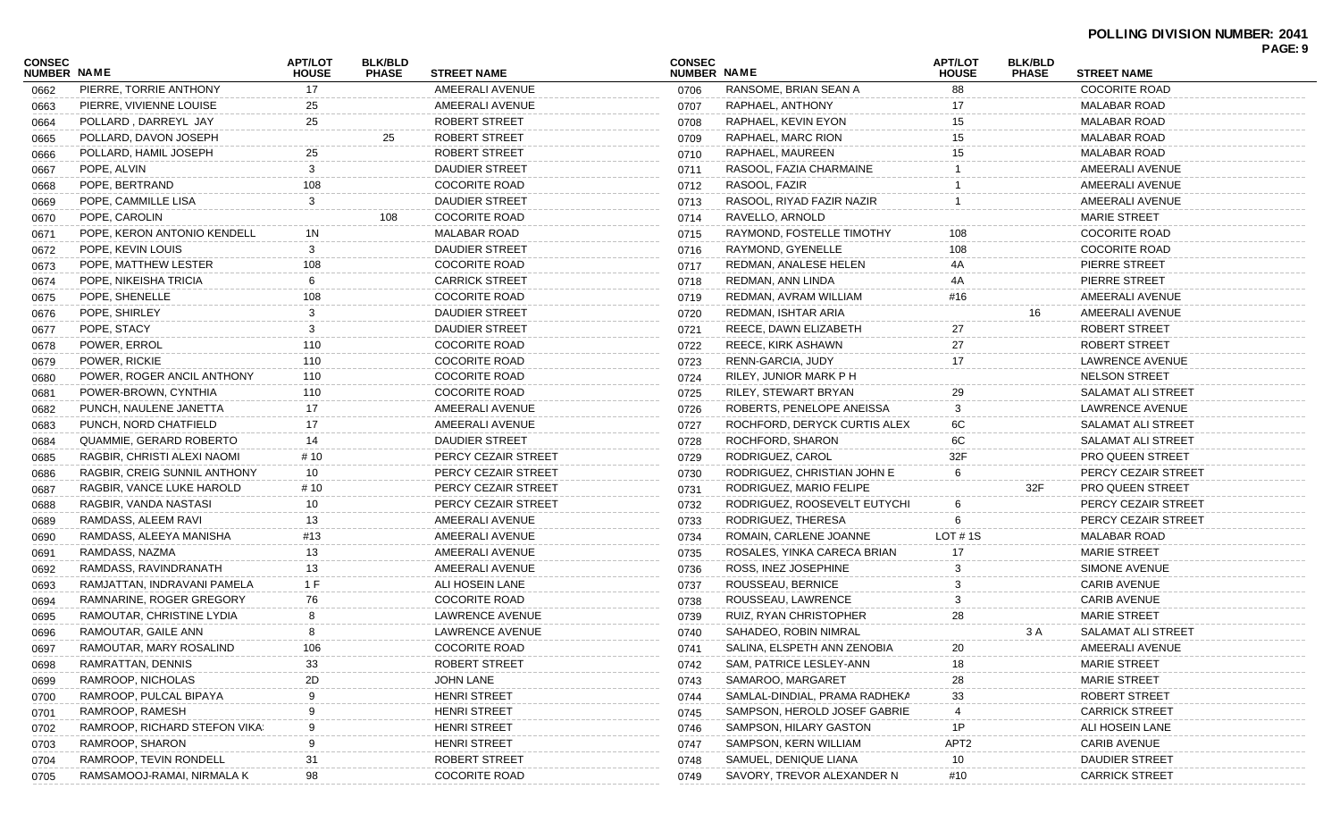| CONSEC<br><b>NUMBER NAME</b> |                               | <b>APT/LOT</b><br><b>HOUSE</b> | <b>BLK/BLD</b><br><b>PHASE</b> | <b>STREET NAME</b>     | <b>CONSEC</b><br><b>NUMBER NAME</b> |                               | <b>APT/LOT</b><br><b>HOUSE</b> | <b>BLK/BLD</b><br><b>PHASE</b> | <b>STREET NAME</b>      | PAGE: 9 |
|------------------------------|-------------------------------|--------------------------------|--------------------------------|------------------------|-------------------------------------|-------------------------------|--------------------------------|--------------------------------|-------------------------|---------|
| 0662                         | PIERRE, TORRIE ANTHONY        | 17                             |                                | AMEERALI AVENUE        | 0706                                | RANSOME, BRIAN SEAN A         | 88                             |                                | <b>COCORITE ROAD</b>    |         |
| 0663                         | PIERRE, VIVIENNE LOUISE       | 25                             |                                | AMEERALI AVENUE        | 0707                                | RAPHAEL, ANTHONY              | 17                             |                                | MALABAR ROAD            |         |
| 0664                         | POLLARD, DARREYL JAY          | 25                             |                                | ROBERT STREET          | 0708                                | RAPHAEL, KEVIN EYON           | 15                             |                                | <b>MALABAR ROAD</b>     |         |
| 0665                         | POLLARD, DAVON JOSEPH         |                                | 25                             | ROBERT STREET          | 0709                                | RAPHAEL, MARC RION            | 15                             |                                | <b>MALABAR ROAD</b>     |         |
| 0666                         | POLLARD, HAMIL JOSEPH         | 25                             |                                | <b>ROBERT STREET</b>   | 0710                                | RAPHAEL, MAUREEN              | 15                             |                                | <b>MALABAR ROAD</b>     |         |
| 0667                         | POPE, ALVIN                   | 3                              |                                | DAUDIER STREET         | 0711                                | RASOOL, FAZIA CHARMAINE       |                                |                                | AMEERALI AVENUE         |         |
| 0668                         | POPE, BERTRAND                | 108                            |                                | <b>COCORITE ROAD</b>   | 0712                                | RASOOL, FAZIR                 |                                |                                | AMEERALI AVENUE         |         |
| 0669                         | POPE, CAMMILLE LISA           | 3                              |                                | DAUDIER STREET         | 0713                                | RASOOL, RIYAD FAZIR NAZIR     |                                |                                | AMEERALI AVENUE         |         |
| 0670                         | POPE, CAROLIN                 |                                | 108                            | <b>COCORITE ROAD</b>   | 0714                                | RAVELLO, ARNOLD               |                                |                                | <b>MARIE STREET</b>     |         |
| 0671                         | POPE, KERON ANTONIO KENDELL   | 1N                             |                                | <b>MALABAR ROAD</b>    | 0715                                | RAYMOND, FOSTELLE TIMOTHY     | 108                            |                                | <b>COCORITE ROAD</b>    |         |
| 0672                         | POPE, KEVIN LOUIS             | 3                              |                                | DAUDIER STREET         | 0716                                | RAYMOND, GYENELLE             | 108                            |                                | <b>COCORITE ROAD</b>    |         |
| 0673                         | POPE, MATTHEW LESTER          | 108                            |                                | <b>COCORITE ROAD</b>   | 0717                                | REDMAN, ANALESE HELEN         | 4A                             |                                | PIERRE STREET           |         |
| 0674                         | POPE, NIKEISHA TRICIA         | 6                              |                                | <b>CARRICK STREET</b>  | 0718                                | REDMAN, ANN LINDA             |                                |                                | PIERRE STREET           |         |
| 0675                         | POPE, SHENELLE                | 108                            |                                | <b>COCORITE ROAD</b>   | 0719                                | REDMAN, AVRAM WILLIAM         | #16                            |                                | AMEERALI AVENUE         |         |
| 0676                         | POPE, SHIRLEY                 | 3                              |                                | <b>DAUDIER STREET</b>  | 0720                                | REDMAN, ISHTAR ARIA           |                                | 16                             | AMEERALI AVENUE         |         |
| 0677                         | POPE, STACY                   | 3                              |                                | DAUDIER STREET         | 0721                                | REECE, DAWN ELIZABETH         | 27                             |                                | ROBERT STREET           |         |
| 0678                         | POWER, ERROL                  | 110                            |                                | <b>COCORITE ROAD</b>   | 0722                                | REECE, KIRK ASHAWN            | 27                             |                                | <b>ROBERT STREET</b>    |         |
| 0679                         | POWER, RICKIE                 | 110                            |                                | <b>COCORITE ROAD</b>   | 0723                                | RENN-GARCIA, JUDY             | 17                             |                                | LAWRENCE AVENUE         |         |
| 0680                         | POWER, ROGER ANCIL ANTHONY    | 110                            |                                | <b>COCORITE ROAD</b>   | 0724                                | RILEY, JUNIOR MARK P H        |                                |                                | <b>NELSON STREET</b>    |         |
| 0681                         | POWER-BROWN, CYNTHIA          | 110                            |                                | <b>COCORITE ROAD</b>   | 0725                                | RILEY, STEWART BRYAN          | 29                             |                                | SALAMAT ALI STREET      |         |
| 0682                         | PUNCH, NAULENE JANETTA        | 17                             |                                | AMEERALI AVENUE        | 0726                                | ROBERTS, PENELOPE ANEISSA     | 3                              |                                | LAWRENCE AVENUE         |         |
| 0683                         | PUNCH, NORD CHATFIELD         | 17                             |                                | AMEERALI AVENUE        | 0727                                | ROCHFORD, DERYCK CURTIS ALEX  | 6C                             |                                | SALAMAT ALI STREET      |         |
| 0684                         | QUAMMIE, GERARD ROBERTO       | 14                             |                                | <b>DAUDIER STREET</b>  | 0728                                | ROCHFORD, SHARON              | 6C                             |                                | SALAMAT ALI STREET      |         |
| 0685                         | RAGBIR, CHRISTI ALEXI NAOMI   | # 10                           |                                | PERCY CEZAIR STREET    | 0729                                | RODRIGUEZ, CAROL              | 32F                            |                                | PRO QUEEN STREET        |         |
| 0686                         | RAGBIR, CREIG SUNNIL ANTHONY  | 10                             |                                | PERCY CEZAIR STREET    | 0730                                | RODRIGUEZ, CHRISTIAN JOHN E   | 6                              |                                | PERCY CEZAIR STREET     |         |
| 0687                         | RAGBIR, VANCE LUKE HAROLD     | # 10                           |                                | PERCY CEZAIR STREET    | 0731                                | RODRIGUEZ, MARIO FELIPE       |                                | 32F                            | <b>PRO QUEEN STREET</b> |         |
| 0688                         | RAGBIR, VANDA NASTASI         | 10                             |                                | PERCY CEZAIR STREET    | 0732                                | RODRIGUEZ, ROOSEVELT EUTYCHI  | 6                              |                                | PERCY CEZAIR STREET     |         |
| 0689                         | RAMDASS, ALEEM RAVI           | 13                             |                                | AMEERALI AVENUE        | 0733                                | RODRIGUEZ, THERESA            |                                |                                | PERCY CEZAIR STREET     |         |
| 0690                         | RAMDASS, ALEEYA MANISHA       | #13                            |                                | AMEERALI AVENUE        | 0734                                | ROMAIN, CARLENE JOANNE        | LOT $# 1S$                     |                                | MALABAR ROAD            |         |
| 0691                         | RAMDASS, NAZMA                | 13                             |                                | AMEERALI AVENUE        | 0735                                | ROSALES, YINKA CARECA BRIAN   | 17                             |                                | <b>MARIE STREET</b>     |         |
| 0692                         | RAMDASS, RAVINDRANATH         | 13                             |                                | AMEERALI AVENUE        | 0736                                | ROSS, INEZ JOSEPHINE          | 3                              |                                | SIMONE AVENUE           |         |
| 0693                         | RAMJATTAN, INDRAVANI PAMELA   | 1 F                            |                                | ALI HOSEIN LANE        | 0737                                | ROUSSEAU, BERNICE             |                                |                                | <b>CARIB AVENUE</b>     |         |
| 0694                         | RAMNARINE, ROGER GREGORY      | 76                             |                                | <b>COCORITE ROAD</b>   | 0738                                | ROUSSEAU, LAWRENCE            |                                |                                | <b>CARIB AVENUE</b>     |         |
| 0695                         | RAMOUTAR, CHRISTINE LYDIA     |                                |                                | <b>LAWRENCE AVENUE</b> | 0739                                | RUIZ, RYAN CHRISTOPHER        | 28                             |                                | <b>MARIE STREET</b>     |         |
| 0696                         | RAMOUTAR, GAILE ANN           | 8                              |                                | <b>LAWRENCE AVENUE</b> | 0740                                | SAHADEO, ROBIN NIMRAL         |                                | 3 A                            | SALAMAT ALI STREET      |         |
| 0697                         | RAMOUTAR, MARY ROSALIND       | 106                            |                                | <b>COCORITE ROAD</b>   | 0741                                | SALINA, ELSPETH ANN ZENOBIA   | 20                             |                                | AMEERALI AVENUE         |         |
| 0698                         | RAMRATTAN, DENNIS             | 33                             |                                | <b>ROBERT STREET</b>   | 0742                                | SAM, PATRICE LESLEY-ANN       | 18                             |                                | <b>MARIE STREET</b>     |         |
| 0699                         | RAMROOP, NICHOLAS             | 2D                             |                                | JOHN LANE              | 0743                                | SAMAROO, MARGARET             | 28                             |                                | <b>MARIE STREET</b>     |         |
| 0700                         | RAMROOP, PULCAL BIPAYA        |                                |                                | <b>HENRI STREET</b>    | 0744                                | SAMLAL-DINDIAL, PRAMA RADHEKA | 33                             |                                | <b>ROBERT STREET</b>    |         |
| 0701                         | RAMROOP, RAMESH               |                                |                                | <b>HENRI STREET</b>    | 0745                                | SAMPSON, HEROLD JOSEF GABRIE  |                                |                                | <b>CARRICK STREET</b>   |         |
| 0702                         | RAMROOP, RICHARD STEFON VIKA: | 9                              |                                | <b>HENRI STREET</b>    | 0746                                | SAMPSON, HILARY GASTON        | 1P                             |                                | ALI HOSEIN LANE         |         |
| 0703                         | RAMROOP, SHARON               | 9                              |                                | <b>HENRI STREET</b>    | 0747                                | SAMPSON, KERN WILLIAM         | APT <sub>2</sub>               |                                | <b>CARIB AVENUE</b>     |         |
| 0704                         | RAMROOP, TEVIN RONDELL        | 31                             |                                | <b>ROBERT STREET</b>   | 0748                                | SAMUEL, DENIQUE LIANA         | 10                             |                                | <b>DAUDIER STREET</b>   |         |
| 0705                         | RAMSAMOOJ-RAMAI, NIRMALA K    | 98                             |                                | <b>COCORITE ROAD</b>   | 0749                                | SAVORY, TREVOR ALEXANDER N    | #10                            |                                | <b>CARRICK STREET</b>   |         |
|                              |                               |                                |                                |                        |                                     |                               |                                |                                |                         |         |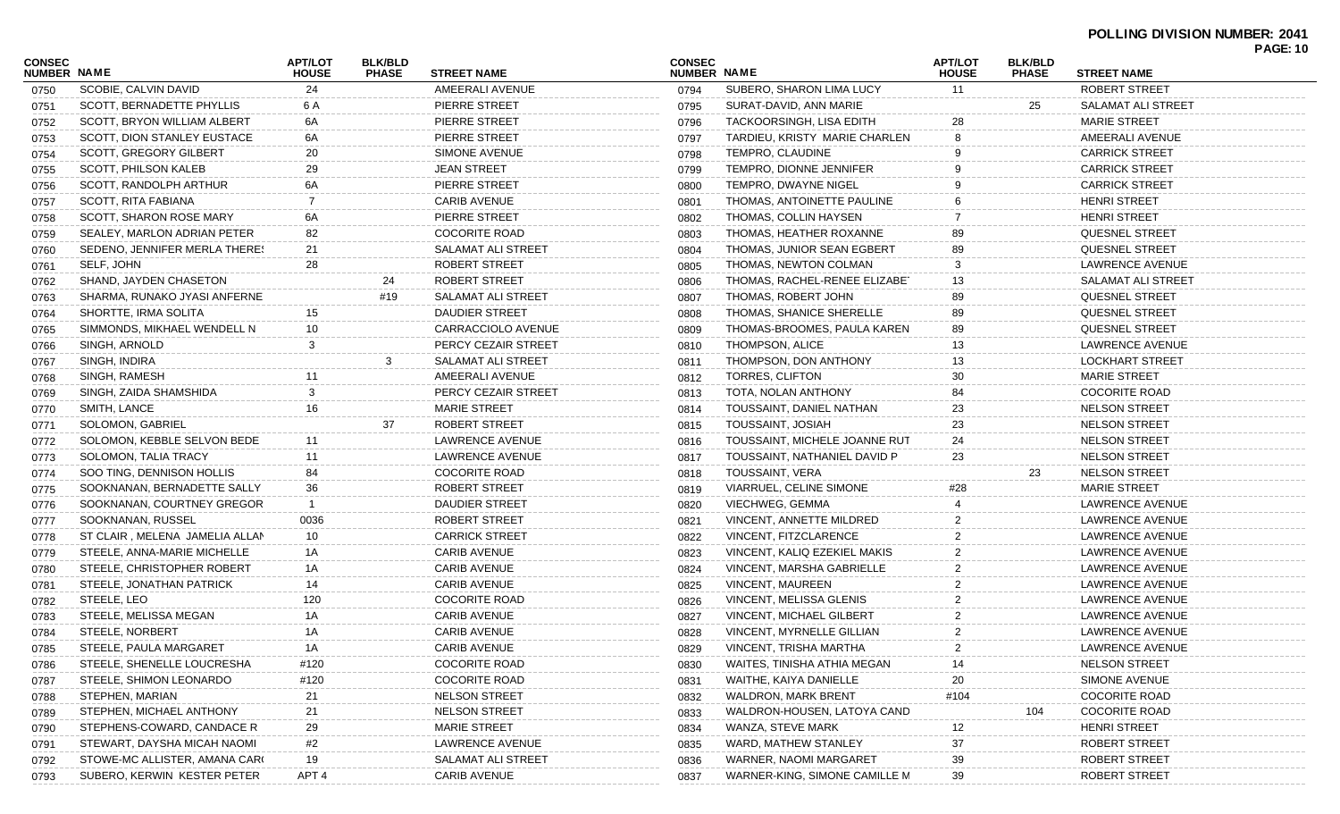### **POLLING DIVISION NUMBER: 2041**

| <b>CONSEC</b>      |                                | <b>APT/LOT</b>   | <b>BLK/BLD</b> |                       | <b>CONSEC</b> |                                 | <b>APT/LOT</b> | <b>BLK/BLD</b> |                        | <b>PAGE: 10</b> |
|--------------------|--------------------------------|------------------|----------------|-----------------------|---------------|---------------------------------|----------------|----------------|------------------------|-----------------|
| <b>NUMBER NAME</b> |                                | <b>HOUSE</b>     | <b>PHASE</b>   | <b>STREET NAME</b>    | NUMBER NAME   |                                 | <b>HOUSE</b>   | <b>PHASE</b>   | <b>STREET NAME</b>     |                 |
| 0750               | SCOBIE, CALVIN DAVID           | 24               |                | AMEERALI AVENUE       | 0794          | SUBERO, SHARON LIMA LUCY        | 11             |                | ROBERT STREET          |                 |
| 0751               | SCOTT, BERNADETTE PHYLLIS      | 6 A              |                | PIERRE STREET         | 0795          | SURAT-DAVID, ANN MARIE          |                | 25             | SALAMAT ALI STREET     |                 |
| 0752               | SCOTT. BRYON WILLIAM ALBERT    | 6A               |                | PIERRE STREET         | 0796          | TACKOORSINGH, LISA EDITH        | 28             |                | <b>MARIE STREET</b>    |                 |
| 0753               | SCOTT, DION STANLEY EUSTACE    | 6A               |                | PIERRE STREET         | 0797          | TARDIEU, KRISTY MARIE CHARLEN   |                |                | AMEERALI AVENUE        |                 |
| 0754               | SCOTT, GREGORY GILBERT         | 20               |                | SIMONE AVENUE         | 0798          | TEMPRO, CLAUDINE                |                |                | <b>CARRICK STREET</b>  |                 |
| 0755               | SCOTT, PHILSON KALEB           | 29               |                | <b>JEAN STREET</b>    | 0799          | TEMPRO, DIONNE JENNIFER         |                |                | <b>CARRICK STREET</b>  |                 |
| 0756               | SCOTT, RANDOLPH ARTHUR         | 6A               |                | PIERRE STREET         | 0800          | TEMPRO, DWAYNE NIGEL            |                |                | <b>CARRICK STREET</b>  |                 |
| 0757               | SCOTT, RITA FABIANA            | 7                |                | <b>CARIB AVENUE</b>   | 0801          | THOMAS, ANTOINETTE PAULINE      |                |                | <b>HENRI STREET</b>    |                 |
| 0758               | SCOTT, SHARON ROSE MARY        | 6A               |                | PIERRE STREET         | 0802          | THOMAS, COLLIN HAYSEN           |                |                | <b>HENRI STREET</b>    |                 |
| 0759               | SEALEY, MARLON ADRIAN PETER    | 82               |                | <b>COCORITE ROAD</b>  | 0803          | THOMAS, HEATHER ROXANNE         | 89             |                | <b>QUESNEL STREET</b>  |                 |
| 0760               | SEDENO, JENNIFER MERLA THERES  | 21               |                | SALAMAT ALI STREET    | 0804          | THOMAS, JUNIOR SEAN EGBERT      | 89             |                | <b>QUESNEL STREET</b>  |                 |
| 0761               | SELF, JOHN                     | 28               |                | ROBERT STREET         | 0805          | THOMAS, NEWTON COLMAN           |                |                | LAWRENCE AVENUE        |                 |
| 0762               | SHAND, JAYDEN CHASETON         |                  | 24             | ROBERT STREET         | 0806          | THOMAS, RACHEL-RENEE ELIZABET   | 13             |                | SALAMAT ALI STREET     |                 |
| 0763               | SHARMA, RUNAKO JYASI ANFERNE   |                  | #19            | SALAMAT ALI STREET    | 0807          | THOMAS, ROBERT JOHN             | 89             |                | <b>QUESNEL STREET</b>  |                 |
| 0764               | SHORTTE, IRMA SOLITA           | 15               |                | <b>DAUDIER STREET</b> | 0808          | THOMAS, SHANICE SHERELLE        | 89             |                | <b>QUESNEL STREET</b>  |                 |
| 0765               | SIMMONDS, MIKHAEL WENDELL N    | 10               |                | CARRACCIOLO AVENUE    | 0809          | THOMAS-BROOMES, PAULA KAREN     | 89             |                | <b>QUESNEL STREET</b>  |                 |
| 0766               | SINGH, ARNOLD                  | 3                |                | PERCY CEZAIR STREET   | 0810          | <b>THOMPSON, ALICE</b>          | 13             |                | LAWRENCE AVENUE        |                 |
| 0767               | SINGH, INDIRA                  |                  | 3              | SALAMAT ALI STREET    | 0811          | THOMPSON, DON ANTHONY           | 13             |                | <b>LOCKHART STREET</b> |                 |
| 0768               | SINGH, RAMESH                  | 11               |                | AMEERALI AVENUE       | 0812          | TORRES, CLIFTON                 | 30             |                | <b>MARIE STREET</b>    |                 |
| 0769               | SINGH, ZAIDA SHAMSHIDA         | 3                |                | PERCY CEZAIR STREET   | 0813          | TOTA, NOLAN ANTHONY             | 84             |                | <b>COCORITE ROAD</b>   |                 |
| 0770               | SMITH, LANCE                   | 16               |                | <b>MARIE STREET</b>   | 0814          | TOUSSAINT, DANIEL NATHAN        | 23             |                | <b>NELSON STREET</b>   |                 |
| 0771               | SOLOMON, GABRIEL               |                  | 37             | ROBERT STREET         | 0815          | <b>TOUSSAINT, JOSIAH</b>        | 23             |                | <b>NELSON STREET</b>   |                 |
| 0772               | SOLOMON, KEBBLE SELVON BEDE    | 11               |                | LAWRENCE AVENUE       | 0816          | TOUSSAINT, MICHELE JOANNE RUT   | 24             |                | <b>NELSON STREET</b>   |                 |
| 0773               | SOLOMON, TALIA TRACY           | 11               |                | LAWRENCE AVENUE       | 0817          | TOUSSAINT, NATHANIEL DAVID P    | 23             |                | <b>NELSON STREET</b>   |                 |
| 0774               | SOO TING, DENNISON HOLLIS      | 84               |                | <b>COCORITE ROAD</b>  | 0818          | TOUSSAINT, VERA                 |                | 23             | <b>NELSON STREET</b>   |                 |
| 0775               | SOOKNANAN, BERNADETTE SALLY    | 36               |                | ROBERT STREET         | 0819          | VIARRUEL, CELINE SIMONE         | #28            |                | <b>MARIE STREET</b>    |                 |
| 0776               | SOOKNANAN, COURTNEY GREGOR     | -1               |                | <b>DAUDIER STREET</b> | 0820          | VIECHWEG, GEMMA                 |                |                | LAWRENCE AVENUE        |                 |
| 0777               | SOOKNANAN, RUSSEL              | 0036             |                | ROBERT STREET         | 0821          | VINCENT, ANNETTE MILDRED        |                |                | LAWRENCE AVENUE        |                 |
| 0778               | ST CLAIR, MELENA JAMELIA ALLAN | 10               |                | <b>CARRICK STREET</b> | 0822          | VINCENT, FITZCLARENCE           |                |                | LAWRENCE AVENUE        |                 |
| 0779               | STEELE, ANNA-MARIE MICHELLE    | 1A               |                | <b>CARIB AVENUE</b>   | 0823          | VINCENT, KALIQ EZEKIEL MAKIS    |                |                | LAWRENCE AVENUE        |                 |
| 0780               | STEELE, CHRISTOPHER ROBERT     | 1A               |                | <b>CARIB AVENUE</b>   | 0824          | VINCENT, MARSHA GABRIELLE       |                |                | LAWRENCE AVENUE        |                 |
|                    | STEELE, JONATHAN PATRICK       | 14               |                | <b>CARIB AVENUE</b>   | 0825          | <b>VINCENT, MAUREEN</b>         |                |                | <b>LAWRENCE AVENUE</b> |                 |
| 0781               | STEELE, LEO                    | 120              |                | <b>COCORITE ROAD</b>  |               | <b>VINCENT, MELISSA GLENIS</b>  |                |                | LAWRENCE AVENUE        |                 |
| 0782               | STEELE, MELISSA MEGAN          | 1A               |                | <b>CARIB AVENUE</b>   | 0826          | <b>VINCENT, MICHAEL GILBERT</b> |                |                | LAWRENCE AVENUE        |                 |
| 0783               | STEELE, NORBERT                |                  |                |                       | 0827          |                                 |                |                |                        |                 |
| 0784               |                                | 1A               |                | <b>CARIB AVENUE</b>   | 0828          | VINCENT, MYRNELLE GILLIAN       | 2              |                | LAWRENCE AVENUE        |                 |
| 0785               | STEELE, PAULA MARGARET         | 1A               |                | <b>CARIB AVENUE</b>   | 0829          | VINCENT, TRISHA MARTHA          | $\overline{2}$ |                | LAWRENCE AVENUE        |                 |
| 0786               | STEELE, SHENELLE LOUCRESHA     | #120             |                | <b>COCORITE ROAD</b>  | 0830          | WAITES, TINISHA ATHIA MEGAN     |                |                | <b>NELSON STREET</b>   |                 |
| 0787               | STEELE, SHIMON LEONARDO        | #120             |                | <b>COCORITE ROAD</b>  | 0831          | WAITHE, KAIYA DANIELLE          | 20             |                | SIMONE AVENUE          |                 |
| 0788               | STEPHEN, MARIAN                | 21               |                | <b>NELSON STREET</b>  | 0832          | <b>WALDRON, MARK BRENT</b>      | #104           |                | <b>COCORITE ROAD</b>   |                 |
| 0789               | STEPHEN, MICHAEL ANTHONY       | 21               |                | <b>NELSON STREET</b>  | 0833          | WALDRON-HOUSEN, LATOYA CAND     |                | 104            | <b>COCORITE ROAD</b>   |                 |
| 0790               | STEPHENS-COWARD, CANDACE R     | 29               |                | <b>MARIE STREET</b>   | 0834          | WANZA, STEVE MARK               | 12             |                | <b>HENRI STREET</b>    |                 |
| 0791               | STEWART, DAYSHA MICAH NAOMI    | #2               |                | LAWRENCE AVENUE       | 0835          | WARD, MATHEW STANLEY            | 37             |                | ROBERT STREET          |                 |
| 0792               | STOWE-MC ALLISTER, AMANA CARO  | 19               |                | SALAMAT ALI STREET    | 0836          | WARNER, NAOMI MARGARET          | 39             |                | ROBERT STREET          |                 |
| 0793               | SUBERO, KERWIN KESTER PETER    | APT <sub>4</sub> |                | <b>CARIB AVENUE</b>   | 0837          | WARNER-KING, SIMONE CAMILLE M   | 39             |                | ROBERT STREET          |                 |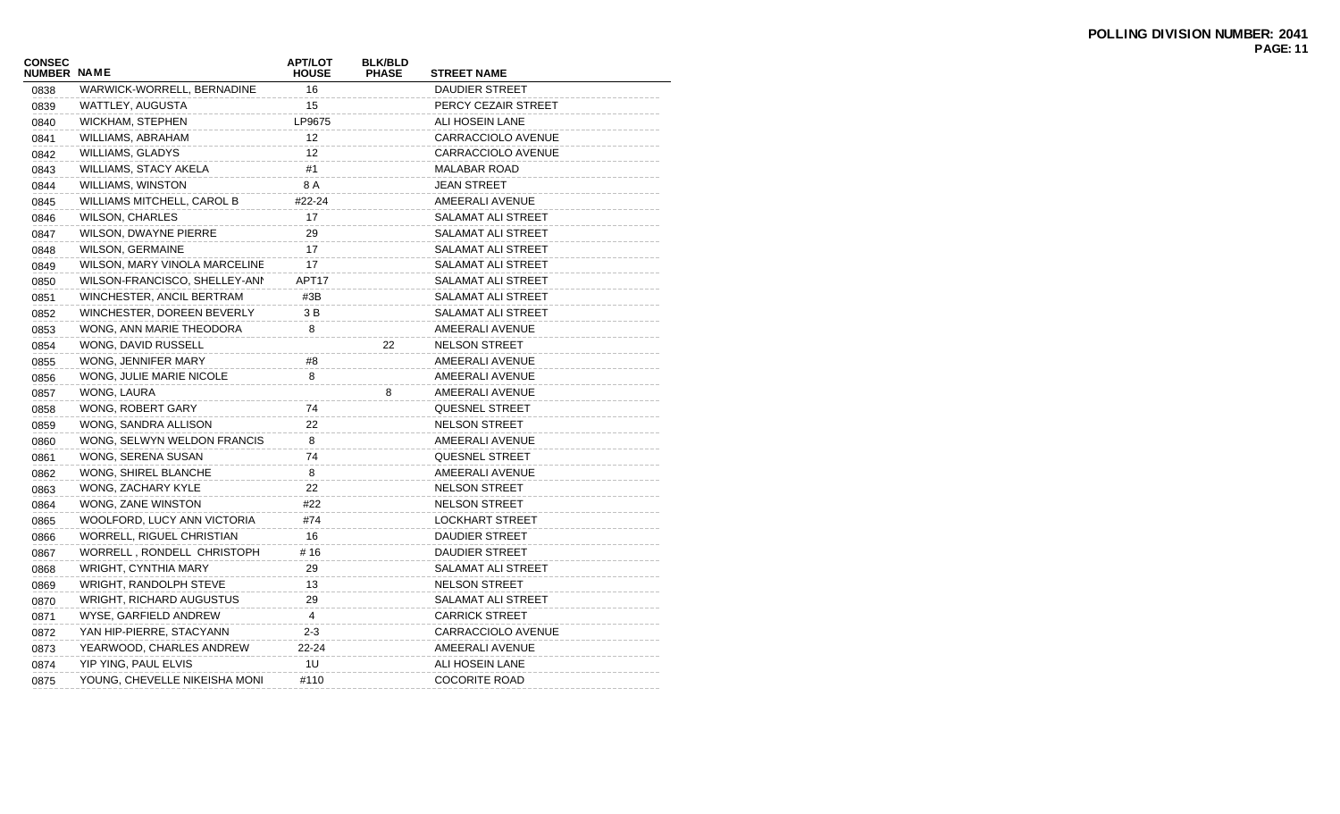| CONSEC<br><b>NUMBER NAME</b> |                               | <b>APT/LOT</b><br><b>HOUSE</b> | <b>BLK/BLD</b><br><b>PHASE</b> | <b>STREET NAME</b>     |
|------------------------------|-------------------------------|--------------------------------|--------------------------------|------------------------|
| 0838                         | WARWICK-WORRELL, BERNADINE    | 16                             |                                | DAUDIER STREET         |
| 0839                         | WATTLEY, AUGUSTA              | 15                             |                                | PERCY CEZAIR STREET    |
| 0840                         | WICKHAM, STEPHEN              | LP9675                         |                                | ALI HOSEIN LANE        |
| 0841                         | WILLIAMS, ABRAHAM             | 12                             |                                | CARRACCIOLO AVENUE     |
| 0842                         | WILLIAMS, GLADYS              | 12                             |                                | CARRACCIOLO AVENUE     |
| 0843                         | <b>WILLIAMS, STACY AKELA</b>  | #1                             |                                | <b>MALABAR ROAD</b>    |
| 0844                         | <b>WILLIAMS, WINSTON</b>      | 8 A                            |                                | <b>JEAN STREET</b>     |
| 0845                         | WILLIAMS MITCHELL, CAROL B    | #22-24                         |                                | AMEERALI AVENUE        |
| 0846                         | <b>WILSON, CHARLES</b>        | 17                             |                                | SALAMAT ALI STREET     |
| 0847                         | <b>WILSON, DWAYNE PIERRE</b>  | 29                             |                                | SALAMAT ALI STREET     |
| 0848                         | <b>WILSON, GERMAINE</b>       | 17                             |                                | SALAMAT ALI STREET     |
| 0849                         | WILSON, MARY VINOLA MARCELINE | 17                             |                                | SALAMAT ALI STREET     |
| 0850                         | WILSON-FRANCISCO, SHELLEY-ANN | APT17                          |                                | SALAMAT ALI STREET     |
| 0851                         | WINCHESTER, ANCIL BERTRAM     | #3B                            |                                | SALAMAT ALI STREET     |
| 0852                         | WINCHESTER, DOREEN BEVERLY    | 3 B                            |                                | SALAMAT ALI STREET     |
| 0853                         | WONG, ANN MARIE THEODORA      | 8                              |                                | AMEERALI AVENUE        |
| 0854                         | WONG, DAVID RUSSELL           |                                | 22                             | <b>NELSON STREET</b>   |
| 0855                         | WONG, JENNIFER MARY           | #8                             |                                | AMEERALI AVENUE        |
| 0856                         | WONG, JULIE MARIE NICOLE      | 8                              |                                | AMEERALI AVENUE        |
| 0857                         | WONG, LAURA                   |                                | 8                              | AMEERALI AVENUE        |
| 0858                         | WONG, ROBERT GARY             | 74                             |                                | QUESNEL STREET         |
| 0859                         | WONG, SANDRA ALLISON          | 22                             |                                | <b>NELSON STREET</b>   |
| 0860                         | WONG, SELWYN WELDON FRANCIS   | 8                              |                                | AMEERALI AVENUE        |
| 0861                         | WONG, SERENA SUSAN            | 74                             |                                | <b>QUESNEL STREET</b>  |
| 0862                         | WONG, SHIREL BLANCHE          | 8                              |                                | AMEERALI AVENUE        |
| 0863                         | WONG, ZACHARY KYLE            | 22                             |                                | <b>NELSON STREET</b>   |
| 0864                         | WONG, ZANE WINSTON            | #22                            |                                | <b>NELSON STREET</b>   |
| 0865                         | WOOLFORD, LUCY ANN VICTORIA   | #74                            |                                | <b>LOCKHART STREET</b> |
| 0866                         | WORRELL, RIGUEL CHRISTIAN     | 16                             |                                | DAUDIER STREET         |
| 0867                         | WORRELL, RONDELL CHRISTOPH    | # 16                           |                                | DAUDIER STREET         |
| 0868                         | WRIGHT, CYNTHIA MARY          | 29                             |                                | SALAMAT ALI STREET     |
| 0869                         | <b>WRIGHT, RANDOLPH STEVE</b> | 13                             |                                | <b>NELSON STREET</b>   |
| 0870                         | WRIGHT, RICHARD AUGUSTUS      | 29                             |                                | SALAMAT ALI STREET     |
| 0871                         | WYSE, GARFIELD ANDREW         | 4                              |                                | <b>CARRICK STREET</b>  |
| 0872                         | YAN HIP-PIERRE, STACYANN      | $2 - 3$                        |                                | CARRACCIOLO AVENUE     |
| 0873                         | YEARWOOD, CHARLES ANDREW      | 22-24                          |                                | AMEERALI AVENUE        |
| 0874                         | YIP YING, PAUL ELVIS          | 1U                             |                                | ALI HOSEIN LANE        |
| 0875                         | YOUNG, CHEVELLE NIKEISHA MONI | #110                           |                                | <b>COCORITE ROAD</b>   |
|                              |                               |                                |                                |                        |